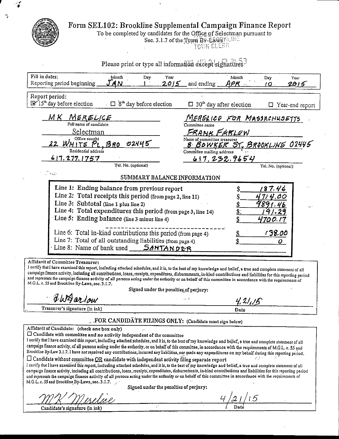$\boldsymbol{\mathcal{L}}$ 



 $\mathcal I$ 

Ÿ,

Form SEL102: Brookline Supplemental Campaign Finance Report<br>To be completed by candidates for the Office of Selectman pursuant to<br>Sec. 3.1.7 of the Rown By-Ea&SKLINE

| Please print or type all information except signatures?                                                                                                                                                                                                                                                                                                                                                                                                                                                                                                                                                                                                                                                                                       |                                        |                                                                                                                                                                                                       |                |                                        |                 |
|-----------------------------------------------------------------------------------------------------------------------------------------------------------------------------------------------------------------------------------------------------------------------------------------------------------------------------------------------------------------------------------------------------------------------------------------------------------------------------------------------------------------------------------------------------------------------------------------------------------------------------------------------------------------------------------------------------------------------------------------------|----------------------------------------|-------------------------------------------------------------------------------------------------------------------------------------------------------------------------------------------------------|----------------|----------------------------------------|-----------------|
| Fill in dates:<br>Month<br>Day<br>Reporting period beginning<br>MN                                                                                                                                                                                                                                                                                                                                                                                                                                                                                                                                                                                                                                                                            | Year<br>2015                           | and ending                                                                                                                                                                                            | Month<br>APF - | Day<br>10.                             | Year<br>2015    |
| Report period:<br>If 15 <sup>th</sup> day before election<br>$\Box$ 8 <sup>th</sup> day before election                                                                                                                                                                                                                                                                                                                                                                                                                                                                                                                                                                                                                                       |                                        | $\Box$ 30 <sup>th</sup> day after election                                                                                                                                                            |                |                                        | Year-end report |
| <u>MK MERELICE</u><br>Full name of candidate<br>Selectman<br>Office sought<br>02445<br>22 WM<br><u>PL.BRO</u><br>ΤΕ<br>Residential address<br>617.277.1757<br>Tel. No. (optional)<br>$\mathcal{P}_{\text{max}}$<br>Line 1: Ending balance from previous report<br>Line 2: Total receipts this period (from page 2, line 11)<br>Line 3: Subtotal (line 1 plus line 2)                                                                                                                                                                                                                                                                                                                                                                          |                                        | <u>MERGLICE FOR MASSRCHUSETTS</u><br>Committee name<br>FRANK FABLEW<br>Name of committee treasurer<br><u>B BOWKER ST. BROOKLINE</u> 02445<br>Committee mailing address<br>SUMMARY BALANCE INFORMATION | 617.232.9654   | Tel. No. (optional)<br>87.46<br>714.00 |                 |
| Line 4: Total expenditures this period (from page 3, line 14)<br>Line 5: Ending balance (line 3 minus line 4)<br>Line 6: Total in-kind contributions this period (from page 4)<br>Line 7: Total of all outstanding liabilities (from page 4)<br>Line 8: Name of bank used $SANTANDER$                                                                                                                                                                                                                                                                                                                                                                                                                                                         |                                        |                                                                                                                                                                                                       | $\mathbf{S}$   | 4700.17<br>138.00<br>Ο.                |                 |
| Affidavit of Committee Treasurer:<br>I certify that I have examined this report, including attached schedules, and it is, to the best of my knowledge and belief, a true and complete statement of all<br>campaign finance activity, including all contributions, loans, receipts, expenditures, disbursements, in-kind contributions and liabilities for this reporting period<br>and represents the campaign finance activity of all persons acting under the authority or on behalf of this committee in accordance with the requirements of<br>M.G.L. c. 55 and Brookline By-Laws, sec. 3.1.7.                                                                                                                                            |                                        |                                                                                                                                                                                                       |                |                                        |                 |
|                                                                                                                                                                                                                                                                                                                                                                                                                                                                                                                                                                                                                                                                                                                                               | Signed under the penalties of perjury: |                                                                                                                                                                                                       |                |                                        |                 |
| UNAarlow                                                                                                                                                                                                                                                                                                                                                                                                                                                                                                                                                                                                                                                                                                                                      |                                        |                                                                                                                                                                                                       | 4.21/15        |                                        |                 |
| Treasurer's signature (in ink)                                                                                                                                                                                                                                                                                                                                                                                                                                                                                                                                                                                                                                                                                                                |                                        |                                                                                                                                                                                                       | Date           |                                        |                 |
| " FOR CANDIDATE FILINGS ONLY: (Candidate must sign below)                                                                                                                                                                                                                                                                                                                                                                                                                                                                                                                                                                                                                                                                                     |                                        |                                                                                                                                                                                                       |                |                                        |                 |
| Affidavit of Candidate: (check one box only)<br>$\Box$ Candidate with committee and no activity independent of the committee<br>I certify that I have examined this report, including attached schedules, and it is, to the best of my knowledge and belief, a true and complete statement of all<br>campaign finance activity, of all persons acting under the authority, or on behalf of this committee, in accordance with the requirements of M.G.L. c. 55 and<br>Brookline By-Law 3.1.7.1 have not received any contributions, incurred any liabilities, nor made any expenditures on my behalf during this reporting period.<br>$\Box$ Candidate without committee <u>OR</u> candidate with independent activity filing separate report |                                        |                                                                                                                                                                                                       |                |                                        |                 |
| I certify that I have examined this report, including attached schedules, and it is, to the best of my knowledge and belief, a true and complete statement of all<br>campaign finance activity, including all contributions, loans, receipts, expenditures, disbursements, in-kind contributions and liabilities for this reporting period<br>and represents the campaign finance activity of all persons acting under the authority or on behalf of this committee in accordance with the requirements of<br>M.G.L. c. 55 and Brookline By-Laws, sec. 3.1.7.                                                                                                                                                                                 | Signed under the penalties of perjury: |                                                                                                                                                                                                       |                |                                        |                 |
|                                                                                                                                                                                                                                                                                                                                                                                                                                                                                                                                                                                                                                                                                                                                               |                                        |                                                                                                                                                                                                       |                |                                        |                 |
| Candidate's signature (in ink)                                                                                                                                                                                                                                                                                                                                                                                                                                                                                                                                                                                                                                                                                                                |                                        |                                                                                                                                                                                                       |                |                                        |                 |
|                                                                                                                                                                                                                                                                                                                                                                                                                                                                                                                                                                                                                                                                                                                                               |                                        |                                                                                                                                                                                                       |                |                                        |                 |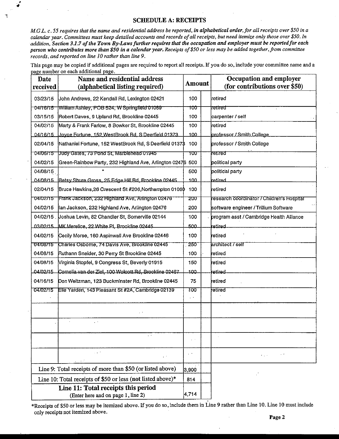M.G.L. c. 55 requires that the name and residential address be reported, in alphabetical order, for all receipts over \$50 in a calendar year. Committees must keep detailed accounts and records of all receipts, but need itemize only those over \$50. In addition, Section 3.1.7 of the Town By-Laws further requires that the occupation and employer must be reported for each person who contributes more than \$50 in a calendar year. Receipts of \$50 or less may be added together, from committee records, and reported on line 10 rather than line 9.

This page may be copied if additional pages are required to report all receipts. If you do so, include your committee name and a page number on each additional page.

| Date<br>received | Name and residential address<br>(alphabetical listing required)           | Amount | <b>Occupation and employer</b><br>(for contributions over \$50) |
|------------------|---------------------------------------------------------------------------|--------|-----------------------------------------------------------------|
| 03/23/15         | John Andrews, 22 Kendall Rd, Lexington 02421                              | 100    | retired                                                         |
| 04/16/15         | William Ashley, POB 524, W Springfield 01089                              | 100    | retired                                                         |
| 03/15/15         | Robert Daves, 9 Upland Rd, Brookline 02445                                | 100    | carpenter / self                                                |
| 04/02/15         | Marty & Frank Farlow, 8 Bowker St, Brookline 02445                        | 100    | iretired                                                        |
| 04/16/15         | Joyce Fortune, 152 WestBrook Rd, S Deerfield 01373.                       | 100    | professor / Smith College                                       |
| 02/04/15         | Nathaniel Fortune, 152 WestBrook Rd, S Deerfield 0137\$                   | 100    | professor / Smith College                                       |
| 04/06/15         | Judy Gates, 73 Pond St, Marblehead 01945                                  | ᠊᠋᠇ᡂ   | retired                                                         |
| 04/02/15         | Green-Rainbow Party, 232 Highland Ave, Arlington 02476 500                |        | political party                                                 |
| 04/08/15         |                                                                           | 500    | political party                                                 |
| 04/08/15         | Betsy Shure Gross, 25 Edge Hill Rd, Brookline 02445                       | 100    | Iretired                                                        |
| 02/04/15         | Bruce Hawkins, 26 Crescent St #206, Northampton 01060                     | 100    | retired                                                         |
| 04/02/15         | Frank Jackson, 232 Highland Ave, Arlington 02476                          | 200    | research coordinator / Children's Hospital                      |
| 04/02/15         | llan Jackson, 232 Highland Ave, Arlington 02476                           | 200    | software engineer / Trillium Software                           |
| 04/02/15         | Uoshua Levin, 82 Chandler St, Somerville 02144                            | 100    | program asst / Cambridge Health Alliance                        |
| 03/02/15         | MK Merelice, 22 White PI, Brookline 02445                                 | 500.   | ketired                                                         |
| 04/02/15         | Cecily Morse, 160 Aspinwall Ave Brookline 02446                           | 100    | ∤etired                                                         |
| 04/08/15         | Charles Osborne, 74 Davis Ave, Brookline 02445                            | 250    | architect / self                                                |
| 04/08/15         | Ruthann Sneider, 30 Perry St Brookline 02445                              | 100    | retired                                                         |
| 04/08/15         | Virginia Stopfel, 9 Congress St, Beverly 01915                            | 150    | retired                                                         |
| 04/02/15         | Cornelia van der Ziel, 100 Wolcott Rd, Brookline 02467                    | 100.   | retired                                                         |
| 04/16/15         | Don Weitzman, 123 Buckminster Rd, Brookline 02445                         | 75     | retired                                                         |
| 04/02/15         | Elie Yarden, 143 Pleasant St #2A, Cambridge 02139                         | 100    | fetired                                                         |
|                  |                                                                           |        |                                                                 |
|                  |                                                                           |        |                                                                 |
|                  | $\sim$ $\sim$                                                             |        |                                                                 |
|                  | $\sim 10^{-4}$<br>a sa st                                                 |        | $\mathcal{L}_{\rm{max}}$                                        |
|                  | Line 9: Total receipts of more than \$50 (or listed above)                | 3.900  |                                                                 |
|                  | Line 10: Total receipts of \$50 or less (not listed above)*               | 814    |                                                                 |
|                  | Line 11: Total receipts this period<br>(Enter here and on page 1, line 2) | 4,714  |                                                                 |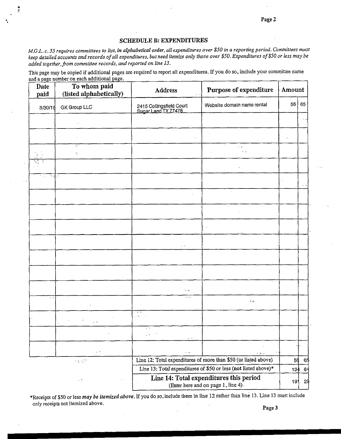#### SCHEDULE B: EXPENDITURES

M.G.L. c. 55 requires committees to list, in alphabetical order, all expenditures over \$50 in a reporting period. Committees must keep detailed accounts and records of all expenditures, but need itemize only those over \$50. Expenditures of \$50 or less may be added together, from committee records, and reported on line l3.

This page may be copied if additional pages are required to report all expenditures. If you do so, include your committee name and a page number on each additional page.

| Date<br>paid               | To whom paid<br>(listed alphabetically) | Purpose of expenditure<br>Address               |                                                                                | Amount |       |
|----------------------------|-----------------------------------------|-------------------------------------------------|--------------------------------------------------------------------------------|--------|-------|
| 3/30/15                    | GK Group LLC                            | 2415 Collingsfield Court<br>Sugar Land TX 77478 | Website domain name rental                                                     | 56     | 65    |
|                            |                                         |                                                 |                                                                                |        |       |
|                            |                                         |                                                 |                                                                                |        |       |
|                            | tys.<br>Ń.                              |                                                 |                                                                                |        |       |
|                            |                                         |                                                 |                                                                                |        |       |
| 计本部<br>$\alpha$ , $\alpha$ |                                         |                                                 |                                                                                |        |       |
|                            |                                         |                                                 |                                                                                |        |       |
|                            |                                         |                                                 | $\mathcal{L}$                                                                  |        |       |
|                            |                                         |                                                 |                                                                                |        |       |
|                            |                                         | УŅ.                                             |                                                                                |        |       |
|                            |                                         |                                                 |                                                                                |        |       |
|                            |                                         |                                                 |                                                                                |        |       |
|                            |                                         | S. St                                           |                                                                                |        |       |
| $\sim$ $\sim$              |                                         | $\ddotsc$                                       | $\mathcal{L} \rightarrow \mathcal{L}$                                          |        |       |
|                            | $\sim$                                  | $\sim 10$                                       |                                                                                |        |       |
|                            |                                         | $\sim$ $\sim$<br>$\sim$                         |                                                                                |        |       |
|                            | $\epsilon$ .                            | $\sim$ 10 $\,$<br>$\ddotsc$                     |                                                                                |        |       |
|                            | $\sim 2.5\,M_{\odot}$                   |                                                 | 大地名<br>Line 12: Total expenditures of more than \$50 (or listed above)         | 56     | 65    |
|                            |                                         |                                                 | Line 13: Total expenditures of \$50 or less (not listed above)*                |        | 13464 |
|                            | $\sim$ $\sigma$<br>$\sim$ $\sim$        |                                                 | Line 14: Total expenditures this period<br>(Enter here and on page 1, line 4). | 191    | -29   |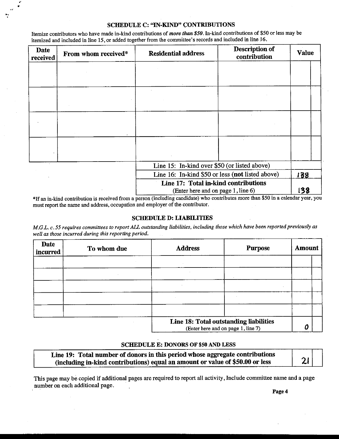Itemize contributors who have made in-kind contributions of more than  $$50$ . In-kind contributions of \$50 or less may be itemized and included in line 15, or added together from the committee's records and included in line 16.

F..

| Date<br>received | From whom received* | <b>Residential address</b>                                                           | Description of<br>contribution                                                                                                                                                                                                                                                                                                                                                                                                                               | <b>Value</b>        |
|------------------|---------------------|--------------------------------------------------------------------------------------|--------------------------------------------------------------------------------------------------------------------------------------------------------------------------------------------------------------------------------------------------------------------------------------------------------------------------------------------------------------------------------------------------------------------------------------------------------------|---------------------|
|                  |                     |                                                                                      |                                                                                                                                                                                                                                                                                                                                                                                                                                                              |                     |
|                  |                     |                                                                                      |                                                                                                                                                                                                                                                                                                                                                                                                                                                              |                     |
|                  |                     |                                                                                      |                                                                                                                                                                                                                                                                                                                                                                                                                                                              |                     |
|                  |                     |                                                                                      |                                                                                                                                                                                                                                                                                                                                                                                                                                                              |                     |
|                  |                     |                                                                                      |                                                                                                                                                                                                                                                                                                                                                                                                                                                              |                     |
|                  |                     |                                                                                      |                                                                                                                                                                                                                                                                                                                                                                                                                                                              |                     |
|                  |                     |                                                                                      |                                                                                                                                                                                                                                                                                                                                                                                                                                                              |                     |
|                  |                     |                                                                                      |                                                                                                                                                                                                                                                                                                                                                                                                                                                              |                     |
|                  |                     | Line 15: In-kind over \$50 (or listed above)                                         |                                                                                                                                                                                                                                                                                                                                                                                                                                                              |                     |
|                  |                     | Line 16: In-kind \$50 or less (not listed above)                                     |                                                                                                                                                                                                                                                                                                                                                                                                                                                              | 138                 |
|                  |                     | Line 17: Total in-kind contributions                                                 |                                                                                                                                                                                                                                                                                                                                                                                                                                                              |                     |
|                  |                     | (Enter here and on page 1, line 6)<br>$\overline{a}$ , and the set of $\overline{a}$ | $\mathbf{a} \cdot \mathbf{a} + \mathbf{b} \cdot \mathbf{a} + \mathbf{b} \cdot \mathbf{a} + \mathbf{b} \cdot \mathbf{a} + \mathbf{b} \cdot \mathbf{a} + \mathbf{b} \cdot \mathbf{a} + \mathbf{b} \cdot \mathbf{a} + \mathbf{b} \cdot \mathbf{a} + \mathbf{b} \cdot \mathbf{a} + \mathbf{b} \cdot \mathbf{a} + \mathbf{b} \cdot \mathbf{a} + \mathbf{b} \cdot \mathbf{a} + \mathbf{b} \cdot \mathbf{a} + \mathbf{b} \cdot \mathbf{a} + \mathbf{b} \cdot \math$ | 138<br>$\mathbf{A}$ |

If an in-kind contribution is received from a person (including candidate) who contributes more than \$50 in a calendar year, you must report the name and address, occupation and employer of the contributor.

#### SCHEDULE D: LIABILITIES

M.G.L.c. 55 requires committees to report ALL outstanding liabilities, including those which have been reported previously as well as those incurred during this reporting period.

| Date<br>incurred | To whom due | <b>Address</b> | <b>Purpose</b>                                                               | <b>Amount</b> |
|------------------|-------------|----------------|------------------------------------------------------------------------------|---------------|
|                  |             |                |                                                                              |               |
|                  |             |                |                                                                              |               |
|                  |             |                |                                                                              |               |
|                  |             |                |                                                                              |               |
|                  |             |                |                                                                              |               |
|                  |             |                | Line 18: Total outstanding liabilities<br>(Enter here and on page 1, line 7) | Ω             |

#### SCHEDULE E: DONORS OF \$50 AND LESS

Line 19: Total number of donors in this period whose aggregate contributions  $\frac{1}{2}$  including in-kind contributions) equal an amount or value of \$50.00 or less  $\frac{2}{3}$ 

This page may be copied if additional pages are required to report all activity, Include committee name and a page number on each additional page.

Page 4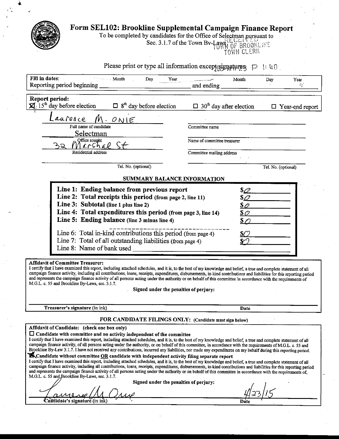| Form SEL102: Brookline Supplemental Campaign Finance Report                                                                                                                                                                                                                                                                                                                                                                                                                                                                                                                                                                                         | To be completed by candidates for the Office of Selectman pursuant to<br>Sec. 3.1.7 of the Town Bv-Law<br>OF BROOKLINE<br>OWN CLERK |
|-----------------------------------------------------------------------------------------------------------------------------------------------------------------------------------------------------------------------------------------------------------------------------------------------------------------------------------------------------------------------------------------------------------------------------------------------------------------------------------------------------------------------------------------------------------------------------------------------------------------------------------------------------|-------------------------------------------------------------------------------------------------------------------------------------|
| Please print or type all information except signatures,<br>Fill in dates:                                                                                                                                                                                                                                                                                                                                                                                                                                                                                                                                                                           | $\pm 40$                                                                                                                            |
| - Month<br>Dav<br>Year<br>Reporting period beginning                                                                                                                                                                                                                                                                                                                                                                                                                                                                                                                                                                                                | Month<br>Year<br>Day<br>₽¥<br>and ending                                                                                            |
| <b>Report period:</b><br>$\mathbb{Z}/15^{\text{th}}$ day before election<br>$\Box$ 8 <sup>th</sup> day before election                                                                                                                                                                                                                                                                                                                                                                                                                                                                                                                              | $\Box$ 30 <sup>th</sup> day after election<br>$\Box$ Year-end report                                                                |
| aurence<br>ONIE<br>Full name of candidate<br>Selectman                                                                                                                                                                                                                                                                                                                                                                                                                                                                                                                                                                                              | Committee name                                                                                                                      |
| Qffice sought<br>ック<br>イトにんてい<br>Residential address                                                                                                                                                                                                                                                                                                                                                                                                                                                                                                                                                                                                | Name of committee treasurer<br>Committee mailing address                                                                            |
| Tel. No. (optional)                                                                                                                                                                                                                                                                                                                                                                                                                                                                                                                                                                                                                                 | Tel. No. (optional)                                                                                                                 |
| SUMMARY BALANCE INFORMATION<br>Line 1: Ending balance from previous report<br>Line 2: Total receipts this period (from page 2, line 11)<br>Line 3: Subtotal (line 1 plus line 2)<br>Line 4: Total expenditures this period (from page 3, line 14)<br>Line 5: Ending balance (line 3 minus line 4)                                                                                                                                                                                                                                                                                                                                                   | $\mathcal{S}\mathcal{Q}$<br>$s_{\mathcal{Q}}$<br>$\mathcal{S}\mathscr{O}$<br><u>s 0</u><br><u>s c</u>                               |
| Line 6: Total in-kind contributions this period (from page 4)<br>Line 7: Total of all outstanding liabilities (from page 4)<br>Line 8: Name of bank used                                                                                                                                                                                                                                                                                                                                                                                                                                                                                            | SC                                                                                                                                  |
| <b>Affidavit of Committee Treasurer:</b><br>I certify that I have examined this report, including attached schedules, and it is, to the best of my knowledge and belief, a true and complete statement of all<br>campaign finance activity, including all contributions, loans, receipts, expenditures, disbursements, in-kind contributions and liabilities for this reporting period<br>and represents the campaign finance activity of all persons acting under the authority or on behalf of this committee in accordance with the requirements of<br>M.G.L. c. 55 and Brookline By-Laws, sec. 3.1.7.<br>Signed under the penalties of perjury: |                                                                                                                                     |
| Treasurer's signature (in ink)                                                                                                                                                                                                                                                                                                                                                                                                                                                                                                                                                                                                                      | Date                                                                                                                                |
| FOR CANDIDATE FILINGS ONLY: (Candidate must sign below)<br>$\Lambda$ ffidovit af Candidatos - (cheoli ang ber el                                                                                                                                                                                                                                                                                                                                                                                                                                                                                                                                    |                                                                                                                                     |

Affidavit of Candidate: (check one box only)

sø

ᄉᄼ 0

Candidate's signature (in ink)

 $\Box$  Candidate with committee and no activity independent of the committee<br>I certify that I have examined this report, including attached schedules, and it is, to the best of my knowledge and belief, a true and complete s

| <b>EXCABOIQUE WILBOUT COMMITTEE <u>OR</u> CAROIQUE WILB IRQEDENGENT ACTIVITY THIRD SEDATATE FEDOTT</b>                                                                |
|-----------------------------------------------------------------------------------------------------------------------------------------------------------------------|
| I certify that I have examined this report, including attached schedules, and it is, to the best of my knowledge and belief, a true and complete statement of all     |
| campaign finance activity, including all contributions, loans, receipts, expenditures, disbursements, in-kind contributions and liabilities for this reporting period |
| and represents the campaign finance activity of all persons acting under the authority or on behalf of this committee in accordance with the requirements of          |
| M.G.L. c. 55 and Brookline By-Laws, sec. 3.1.7.                                                                                                                       |

Signed under the penalties of perjury:

Date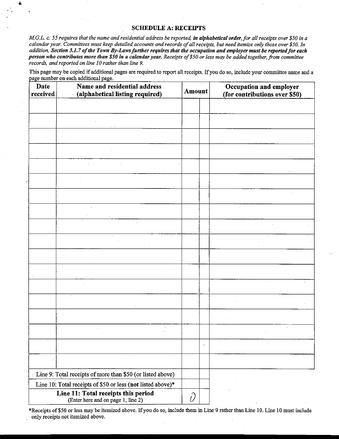M.G.L. c. 55 requires that the name and residential address be reported, in alphabetical order, for all receipts over \$50 in a calendar year. Committees must keep detailed accounts and records of all receipts, but need itemize only those over \$50. In addition, Section 3.1.7 of the Town By-Laws further requires that the occupation and employer must be reported for each person who contributes more than \$50 in a calendar year. Receipts of \$50 or less may be added together, from committee records, and reported on line 10 rather than line 9.

This page may be copied if additional pages are required to report all receipts. If you do so, include your committee name and a page number on each additional page.

| <b>Date</b><br>received | Name and residential address<br>(alphabetical listing required)           |   | <b>Amount</b> | Occupation and employer<br>(for contributions over \$50) |  |  |
|-------------------------|---------------------------------------------------------------------------|---|---------------|----------------------------------------------------------|--|--|
|                         |                                                                           |   |               |                                                          |  |  |
|                         |                                                                           |   |               |                                                          |  |  |
|                         |                                                                           |   |               |                                                          |  |  |
|                         |                                                                           |   |               |                                                          |  |  |
|                         |                                                                           |   |               |                                                          |  |  |
|                         |                                                                           |   |               |                                                          |  |  |
|                         |                                                                           |   |               |                                                          |  |  |
|                         |                                                                           |   |               |                                                          |  |  |
|                         |                                                                           |   |               |                                                          |  |  |
|                         |                                                                           |   |               |                                                          |  |  |
|                         |                                                                           |   |               |                                                          |  |  |
|                         |                                                                           |   |               |                                                          |  |  |
|                         |                                                                           |   |               |                                                          |  |  |
|                         |                                                                           |   |               |                                                          |  |  |
|                         |                                                                           |   |               |                                                          |  |  |
|                         |                                                                           |   |               |                                                          |  |  |
|                         |                                                                           |   | $\sim 10^7$   |                                                          |  |  |
|                         |                                                                           |   |               |                                                          |  |  |
|                         | Line 9: Total receipts of more than \$50 (or listed above)                |   |               |                                                          |  |  |
|                         | Line 10: Total receipts of \$50 or less (not listed above)*               |   |               |                                                          |  |  |
|                         | Line 11: Total receipts this period<br>(Enter here and on page 1, line 2) | D |               |                                                          |  |  |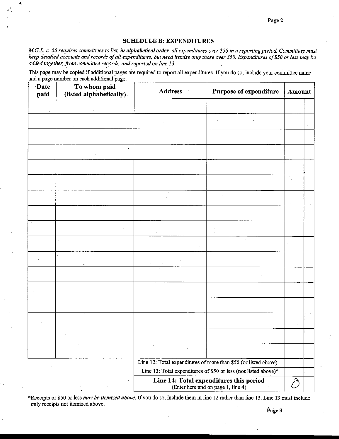#### **SCHEDULE B: EXPENDITURES**

i

M.G.L. c. 55 requires committees to list, in alphabetical order, all expenditures over \$50 in a reporting period. Committees must keep detailed accounts and records of all expenditures, but need itemize only those over \$50. Expenditures of \$50 or less may be added together, from committee records, and reported on line 13.

This page may be copied if additional pages are required to report all expenditures. If you do so, include your committee name and a page number on each additional page.

| Date<br>paid | To whom paid<br>(listed alphabetically) | <b>Address</b>                                                                | Purpose of expenditure                                          | Amount |  |
|--------------|-----------------------------------------|-------------------------------------------------------------------------------|-----------------------------------------------------------------|--------|--|
|              |                                         |                                                                               |                                                                 |        |  |
|              |                                         |                                                                               |                                                                 |        |  |
|              |                                         |                                                                               |                                                                 |        |  |
|              |                                         |                                                                               |                                                                 |        |  |
|              |                                         |                                                                               |                                                                 |        |  |
|              |                                         |                                                                               |                                                                 | Á,     |  |
|              |                                         |                                                                               |                                                                 |        |  |
|              |                                         |                                                                               |                                                                 |        |  |
|              |                                         |                                                                               |                                                                 |        |  |
|              |                                         |                                                                               |                                                                 |        |  |
|              |                                         |                                                                               |                                                                 |        |  |
|              |                                         |                                                                               |                                                                 |        |  |
|              |                                         |                                                                               |                                                                 |        |  |
|              |                                         |                                                                               |                                                                 |        |  |
|              |                                         |                                                                               |                                                                 |        |  |
|              |                                         |                                                                               |                                                                 |        |  |
|              |                                         |                                                                               |                                                                 |        |  |
|              |                                         |                                                                               | Line 12: Total expenditures of more than \$50 (or listed above) |        |  |
|              |                                         |                                                                               | Line 13: Total expenditures of \$50 or less (not listed above)* |        |  |
|              |                                         | Line 14: Total expenditures this period<br>(Enter here and on page 1, line 4) |                                                                 |        |  |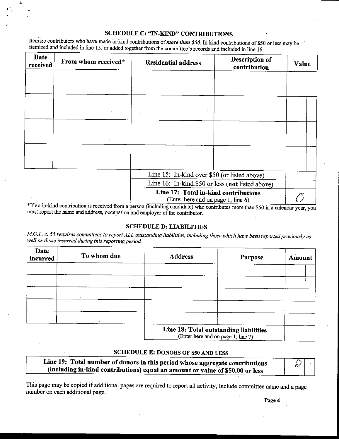Itemize contributors who have made in-kind contributions of *more than* \$50. In-kind contributions of \$50 or less may be itemized and included in line 15, or added together from the committee's records and included in line 16.

| Date<br>received | From whom received* | Description of<br><b>Residential address</b><br>contribution               | Value |  |
|------------------|---------------------|----------------------------------------------------------------------------|-------|--|
|                  |                     |                                                                            |       |  |
|                  |                     |                                                                            |       |  |
|                  |                     |                                                                            |       |  |
|                  |                     |                                                                            |       |  |
|                  |                     |                                                                            |       |  |
|                  |                     |                                                                            |       |  |
|                  |                     | Line 15: In-kind over \$50 (or listed above)                               |       |  |
|                  |                     | Line 16: In-kind \$50 or less (not listed above)                           |       |  |
|                  |                     | Line 17: Total in-kind contributions<br>(Enter here and on page 1, line 6) |       |  |

If an in-kind contribution is received from a person (including candidate) who contributes more than \$50 in a calendar year, you must report the name and address, occupation and employer of the contributor.

#### SCHEDULE D: LIABILTTIES

M.G.L. c. 55 requires committees to report ALL outstanding liabilities, including those which have been reported previously as well as those incurred during this reporting period.

| Date<br>incurred | To whom due | <b>Address</b>                                                                | Purpose | Amount |
|------------------|-------------|-------------------------------------------------------------------------------|---------|--------|
|                  |             |                                                                               |         |        |
|                  |             |                                                                               |         |        |
|                  |             |                                                                               |         |        |
|                  |             |                                                                               |         |        |
|                  |             |                                                                               |         |        |
|                  |             | Line 18: Total outstanding liabilities<br>$(Fntar hara and on no a + I in a)$ |         |        |

here and on page  $1$ , line  $7$ )

#### SCHEDULE E: DONORS OF \$50 AND LESS

| Line 19: Total number of donors in this period whose aggregate contributions  | $\mathcal{D}%$ |  |
|-------------------------------------------------------------------------------|----------------|--|
| (including in-kind contributions) equal an amount or value of \$50.00 or less |                |  |

This page may be copied if additional pages are required to report all activity, Include committee name and a page number on each additional page.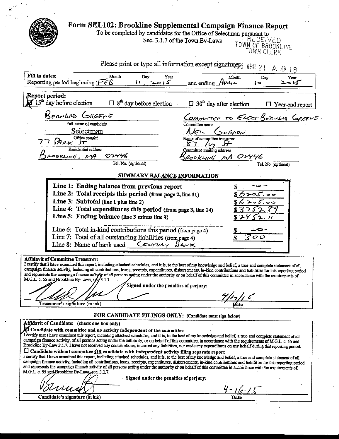|                                                                                                                                                                                                                                                                                                                                            | Form SEL102: Brookline Supplemental Campaign Finance Report                     |
|--------------------------------------------------------------------------------------------------------------------------------------------------------------------------------------------------------------------------------------------------------------------------------------------------------------------------------------------|---------------------------------------------------------------------------------|
|                                                                                                                                                                                                                                                                                                                                            | To be completed by candidates for the Office of Selectman pursuant to           |
|                                                                                                                                                                                                                                                                                                                                            | : RECEIVED<br>Sec. 3.1.7 of the Town Bv-Laws<br>TOWN OF BROOKLINE<br>TOWN CLERK |
|                                                                                                                                                                                                                                                                                                                                            | Please print or type all information except signatures APR 21<br>A 10 18        |
| Fill in dates:<br>Month<br>Day<br>Year                                                                                                                                                                                                                                                                                                     | Month<br>Dav<br>Year                                                            |
| 5<br>Reporting period beginning $F \in \mathcal{B}$<br>U                                                                                                                                                                                                                                                                                   | and ending $H$ PRIL<br>—ు ∕్<br>ίÞ                                              |
| Report period:<br>$15m$ day before election<br>$\Box$ 8 <sup>th</sup> day before election                                                                                                                                                                                                                                                  | $\Box$ 30 <sup>th</sup> day after election<br>$\Box$ Year-end report            |
|                                                                                                                                                                                                                                                                                                                                            |                                                                                 |
| KERNAD GREENE                                                                                                                                                                                                                                                                                                                              | Committee to ELECT BERLING GREENE                                               |
| Full name of candidate                                                                                                                                                                                                                                                                                                                     | Committee name                                                                  |
| Selectman                                                                                                                                                                                                                                                                                                                                  | $\lambda$ jen<br>SOROON                                                         |
| Office sought                                                                                                                                                                                                                                                                                                                              | Name of committee treasurer                                                     |
| <b>PARK ST</b>                                                                                                                                                                                                                                                                                                                             |                                                                                 |
| Residential address                                                                                                                                                                                                                                                                                                                        | Committee mailing address                                                       |
| $\mathcal{O} \mathcal{V}$ 146<br>RODKLINE, MA                                                                                                                                                                                                                                                                                              | ROOKLINE MA OVYYG                                                               |
| Tel. No. (optional)                                                                                                                                                                                                                                                                                                                        | Tel. No. (optional)                                                             |
|                                                                                                                                                                                                                                                                                                                                            |                                                                                 |
| SUMMARY BALANCE INFORMATION                                                                                                                                                                                                                                                                                                                |                                                                                 |
| Line 1: Ending balance from previous report                                                                                                                                                                                                                                                                                                |                                                                                 |
| Line 2: Total receipts this period (from page 2, line 11)                                                                                                                                                                                                                                                                                  | ≻౸్. ల⇔                                                                         |
| Line 3: Subtotal (line 1 plus line 2)                                                                                                                                                                                                                                                                                                      | ია იი                                                                           |
|                                                                                                                                                                                                                                                                                                                                            |                                                                                 |
| Line 4: Total expenditures this period (from page 3, line 14)                                                                                                                                                                                                                                                                              | 2.8                                                                             |
| Line 5: Ending balance (line 3 minus line 4)                                                                                                                                                                                                                                                                                               | 2.11                                                                            |
|                                                                                                                                                                                                                                                                                                                                            | ⇔.                                                                              |
| Line 6: Total in-kind contributions this period (from page 4)                                                                                                                                                                                                                                                                              |                                                                                 |
| Line 7: Total of all outstanding liabilities (from page 4)                                                                                                                                                                                                                                                                                 | 00                                                                              |
| Line 8: Name of bank used $C$ <i>swrutry</i> $B$ Arik                                                                                                                                                                                                                                                                                      |                                                                                 |
|                                                                                                                                                                                                                                                                                                                                            |                                                                                 |
| <b>Affidavit of Committee Treasurer:</b><br>I certify that I have examined this report, including attached schedules, and it is, to the best of my knowledge and belief, a true and complete statement of all                                                                                                                              |                                                                                 |
| campaign finance activity, including all contributions, loans, receipts, expenditures, disbursements, in-kind contributions and liabilities for this reporting period                                                                                                                                                                      |                                                                                 |
| and represents the campaign finance activity of all persons agting under the authority or on behalf of this committee in accordance with the requirements of                                                                                                                                                                               |                                                                                 |
| M.G.L. c. 55 and Brookline By-Laws, sec/3.1.7.                                                                                                                                                                                                                                                                                             |                                                                                 |
| Signed under the penalties of perjury:                                                                                                                                                                                                                                                                                                     |                                                                                 |
|                                                                                                                                                                                                                                                                                                                                            |                                                                                 |
| Treasurer's signature (in ink)                                                                                                                                                                                                                                                                                                             |                                                                                 |
| FOR CANDIDATE FILINGS ONLY: (Candidate must sign below)                                                                                                                                                                                                                                                                                    |                                                                                 |
| Affidavit of Candidate: (check one box only)                                                                                                                                                                                                                                                                                               |                                                                                 |
| $\boldsymbol{\Sigma}$ Candidate with committee and no activity independent of the committee                                                                                                                                                                                                                                                |                                                                                 |
| I certify that I have examined this report, including attached schedules, and it is, to the best of my knowledge and belief, a true and complete statement of all                                                                                                                                                                          |                                                                                 |
| campaign finance activity, of all persons acting under the authority, or on behalf of this committee, in accordance with the requirements of M.G.L. c. 55 and<br>Brookline By-Law 3.1.7. I have not received any contributions, incurred any liabilities, nor made any expenditures on my behalf during this reporting period.             |                                                                                 |
| $\square$ Candidate without committee $\underline{OR}$ candidate with independent activity filing separate report                                                                                                                                                                                                                          |                                                                                 |
| I certify that I have examined this report, including attached schedules, and it is, to the best of my knowledge and belief, a true and complete statement of all<br>campaign finance activity, including all contributions, loans, receipts, expenditures, disbursements, in-kind contributions and liabilities for this reporting period |                                                                                 |
| and represents the campaign finance activity of all persons acting under the authority or on behalf of this committee in accordance with the requirements of                                                                                                                                                                               |                                                                                 |
| M.G.L. c. 55 and Brookline By-Laws, sec. 3.1.7.                                                                                                                                                                                                                                                                                            |                                                                                 |
| Signed under the penalties of perjury:                                                                                                                                                                                                                                                                                                     |                                                                                 |
|                                                                                                                                                                                                                                                                                                                                            |                                                                                 |
|                                                                                                                                                                                                                                                                                                                                            | $4 - 16 - 1$                                                                    |
| Candidate's signature (in ink)                                                                                                                                                                                                                                                                                                             | Date                                                                            |
|                                                                                                                                                                                                                                                                                                                                            |                                                                                 |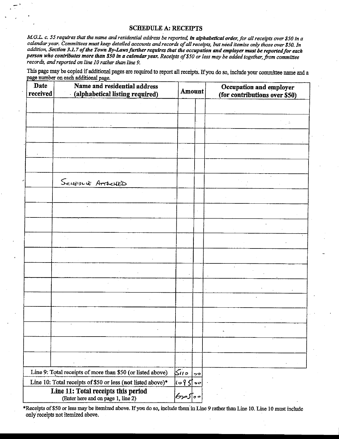M.G.L. c. 55 requires that the name and residential address be reported, in alphabetical order, for all receipts over \$50 in a calendar year. Committees must keep detailed accounts and records of all receipts, but need itemize only those over \$50. In addition, Section 3.1.7 of the Town By-Laws further requires that the occupation and employer must be reported for each person who contributes more than \$50 in a calendar year. Receipts of \$50 or less may be added together, from committee records, and reported on line 10 rather than line 9.

This page may be copied if additional pages are required to report all receipts. If you do so, include your committee name and a page number on each additional page.

| Date<br>received | Name and residential address<br>(alphabetical listing required)           | Amount                                   |               | Occupation and employer<br>(for contributions over \$50) |  |  |
|------------------|---------------------------------------------------------------------------|------------------------------------------|---------------|----------------------------------------------------------|--|--|
|                  |                                                                           |                                          |               |                                                          |  |  |
|                  |                                                                           |                                          |               |                                                          |  |  |
|                  |                                                                           |                                          |               |                                                          |  |  |
|                  |                                                                           |                                          |               |                                                          |  |  |
|                  |                                                                           |                                          |               |                                                          |  |  |
|                  | SCHEDUE ATTACHED                                                          |                                          |               |                                                          |  |  |
|                  |                                                                           |                                          |               |                                                          |  |  |
|                  |                                                                           |                                          |               |                                                          |  |  |
|                  |                                                                           |                                          |               |                                                          |  |  |
|                  |                                                                           |                                          |               |                                                          |  |  |
|                  |                                                                           |                                          |               |                                                          |  |  |
|                  |                                                                           |                                          |               |                                                          |  |  |
|                  |                                                                           |                                          |               |                                                          |  |  |
|                  |                                                                           |                                          |               |                                                          |  |  |
|                  |                                                                           |                                          |               |                                                          |  |  |
|                  |                                                                           |                                          |               |                                                          |  |  |
|                  |                                                                           |                                          |               |                                                          |  |  |
|                  |                                                                           |                                          |               |                                                          |  |  |
|                  | Line 9: Total receipts of more than \$50 (or listed above)                | ە ئەكم                                   | $\mathcal{P}$ |                                                          |  |  |
|                  | Line 10: Total receipts of \$50 or less (not listed above)*               | $\left[\omega$ $\beta$ $\int$ + $\sigma$ |               |                                                          |  |  |
|                  | Line 11: Total receipts this period<br>(Enter here and on page 1, line 2) | ∘ه∏موکا                                  |               |                                                          |  |  |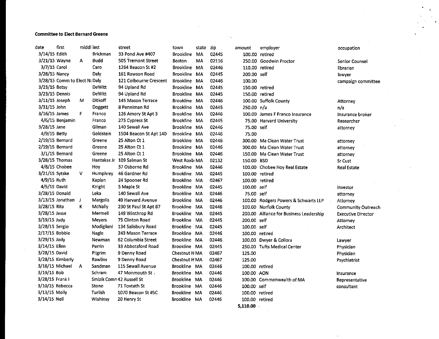#### Committee to Elect Bernard Greene

| date             | first                         | middl last |                 | street                    | town                | state | zip   | amount         | employer                                | occupation                |
|------------------|-------------------------------|------------|-----------------|---------------------------|---------------------|-------|-------|----------------|-----------------------------------------|---------------------------|
| 3/14/15 Edith    |                               |            | <b>Brickman</b> | 33 Pond Ave #407          | Brookline MA        |       | 02445 |                | 100.00 retired                          |                           |
| 3/21/15 Wayne    |                               | А          | Budd            | 505 Tremont Street        | <b>Boston</b>       | MA    | 02116 |                | 250.00 Goodwin Proctor                  | Senior Counsel            |
| 3/7/15 Carol     |                               |            | Caro            | 1264 Beacon St #2         | Brookline MA        |       | 02446 | 110.00 retired |                                         | librarian                 |
| 3/28/15 Nancy    |                               |            | Daly            | 161 Rawson Road           | Brookline MA        |       | 02445 | 200.00 self    |                                         | lawyer                    |
|                  | 3/28/15 Comm to Elect N: Daly |            |                 | 121 Colbourne Crescent    | Brookline MA        |       | 02446 | 100.00         |                                         | campaign committee        |
| 3/23/15 Betsy    |                               |            | <b>DeWitt</b>   | 94 Upland Rd              | <b>Brookline MA</b> |       | 02445 |                | 150.00 retired                          |                           |
| 3/23/15 Dennis   |                               |            | DeWitt          | 94 Upland Rd              | Brookline MA        |       | 02445 | 150.00 retired |                                         |                           |
| 3/11/15 Joseph   |                               | м          | Ditkoff         | 145 Mason Terrace         | Brookline MA        |       | 02446 |                | 100.00 Suffolk County                   | <b>Attorney</b>           |
| 3/31/15 John     |                               |            | Doggett         | 8 Penniman Rd             | Brookline MA        |       | 02445 | 250.00 n/a     |                                         | n/a                       |
| $3/16/15$ James  |                               | F          | Franco          | 126 Amory St Apt 3        | Brookline MA        |       | 02446 |                | 100.00 James F Franco Insurance         | Insurance broker          |
|                  | 4/6/15 Benjamin               |            | Franco          | 275 Cypress St            | Brookline MA        |       | 02445 |                | 75.00 Harvard University                | Researcher                |
| $3/28/15$ Jane   |                               |            | Gilman          | 140 Sewall Ave            | Brookline MA        |       | 02446 | 75.00 self     |                                         | attorney                  |
| 4/9/15 Betty     |                               |            | Goldstein       | 1504 Beacon St Apt 140    | Brookline MA        |       | 02446 | 75.00          |                                         |                           |
| 2/19/15 Bernard  |                               |            | Greene          | 25 Alton Ct 1             | Brookline MA        |       | 02446 |                | 300.00 Ma Clean Water Trust             | attorney                  |
| 2/19/15 Bernard  |                               |            | Greene          | 25 Alton Ct 1             | Brookline MA        |       | 02446 |                | 300.00 Ma Clean Water Trust             | attorney                  |
|                  | 3/1/15 Bernard                |            | Greene          | 25 Alton Ct 1             | Brookline MA        |       | 02446 |                | 150.00 Ma Clean Water Trust             | attorney                  |
| 3/28/15 Thomas   |                               |            |                 | Hantakas Jr 109 Salman St | West Roxb MA        |       | 02132 | 150.00 BSD     |                                         | Sr Cust                   |
|                  | 4/8/15 Chobee                 |            | Hoy             | 37 Osborne Rd             | Brookline MA        |       | 02446 |                | 100.00 Chobee Hoy Real Estate           | <b>Real Estate</b>        |
| 3/21/15 Sytske   |                               | v          | <b>Humphrey</b> | 46 Gardner Rd             | <b>Brookline</b>    | MA    | 02445 | 100.00 retired |                                         |                           |
| 4/9/15 Ruth      |                               |            | Kaplan          | 24 Spooner Rd             | <b>Brookline</b>    | MA    | 02467 | 100.00 retired |                                         |                           |
| 4/5/15 David     |                               |            | Knight          | 5 Maple St                | Brookline MA        |       | 02445 | 100.00 self    |                                         | investor                  |
| 3/28/15 Donald   |                               |            | Leka            | 140 Sewall Ave            | Brookline MA        |       | 02446 | 75.00 self     |                                         | attorney                  |
|                  | $3/13/15$ Jonathan J          |            | Margolis        | 49 Harvard Avenue         | Brookline MA        |       | 02446 |                | 100.00 Rodgers Powers & Schwarts LLP    | Attorney                  |
| 3/28/15 Rita     |                               | K.         | McNally         | 230 St Paul St Apt B7     | Brookline MA        |       | 02446 |                | 100.00 Norfolk County                   | <b>Community Outreach</b> |
| 3/28/15 Jesse    |                               |            | Mermell         | 149 Winthrop Rd           | Brookline MA        |       | 02445 |                | 200.00 Alliance for Business Leadership | <b>Executive Director</b> |
| $3/19/15$ Judy   |                               |            | Meyers          | 75 Clinton Road           | Brookline MA        |       | 02445 | 200.00 self    |                                         | Attorney                  |
| 3/28/15 Sergio   |                               |            | Modigliani      | 134 Salisbury Road        | Brookline MA        |       | 02445 | 100.00 self    |                                         | Architect                 |
| $2/17/15$ Bobbie |                               |            | Nagle           | 243 Mason Terrace         | Brookline MA        |       | 02446 | 100.00 retired |                                         |                           |
| 3/29/15 Jody     |                               |            | Newman          | 62 Columbia Street        | Brookline MA        |       | 02446 |                | 100.00 Dwyer & Collora                  | Lawyer                    |
| 3/14/15 Ellen    |                               |            | Perrin          | 33 Abbotsford Road        | Brookline MA        |       | 02445 |                | 250.00 Tufts Medical Center             | Physician                 |
| 3/28/15 David    |                               |            | Pilgrim         | 9 Denny Road              | <b>Chestnut HMA</b> |       | 02467 | 125.00         |                                         | Physician                 |
|                  | 3/28/15 Kimberly              |            | Rawlins         | 9 Denny Road              | Chestnut H MA       |       | 02467 | 125.00         |                                         | Psychiatrist              |
| 3/16/15 Michael  |                               | A          | Sandman         | 115 Sewall Avenue         | Brookline MA        |       | 02446 | 100.00 retired |                                         |                           |
| $3/19/15$ Bob    |                               |            | Schram          | 47 Monmouth St            | Brookline MA        |       | 02446 | 100.00 AON     |                                         | Insurance                 |
| 3/28/15 Frank I  |                               |            |                 | Smizik Comn 42 Russell St | <b>Brookline</b>    | MA    | 02446 |                | 100.00 Commonwealth of MA               | Representative            |
| 3/10/15 Rebecca  |                               |            | Stone           | 71 Toxteth St             | <b>Brookline</b>    | MA    | 02446 | 100.00 self    |                                         | consultant                |
| 3/13/15 Molly    |                               |            | Turlish         | 1070 Beacon St #5C        | <b>Brookline</b>    | MA    | 02446 | 100.00 retired |                                         |                           |
| 3/14/15 Neil     |                               |            | Wishinsy        | 20 Henry St               | Brookline MA        |       | 02446 | 100.00 retired |                                         |                           |
|                  |                               |            |                 |                           |                     |       |       | 5,110.00       |                                         |                           |

y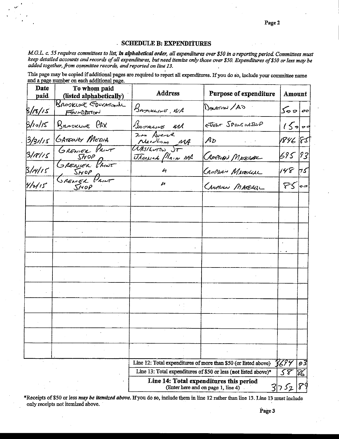#### SCHEDULE B: EXPENDITURES

M.G.L. c. 55 requires committees to list, in alphabetical order, all expenditures over \$50 in a reporting period. Committees must keep detailed accounts and records of all expenditures, but need itemize only those over \$50. Expenditures of \$50 or less may be added together, from committee records, and reported on line 13.

This page may be copied if additional pages are required to report all expenditures. If you do so, include your committee name and a page number on each additional page.

| <b>Date</b><br>paid | To whom paid<br>(listed alphabetically) | <b>Address</b>                                                | Purpose of expenditure                                                        | Amount          |    |  |
|---------------------|-----------------------------------------|---------------------------------------------------------------|-------------------------------------------------------------------------------|-----------------|----|--|
| 5/18/15             | BROOKLINE EDUCATIONAL<br>FOUNDATION     | BASOKLINE, NA                                                 | Deutrion /AS                                                                  | $\sqrt{255}$    |    |  |
| B/10/15             | BROOKLINE PAX                           | BROSELINE MIA                                                 | EVENT SPONSORSAIP                                                             | $15 - -$        |    |  |
|                     | 3/31/15 GATEWAY MEDIA                   | 2no Avene<br>Needlam MA                                       | $A_{D}$                                                                       | 1846   85       |    |  |
|                     | 3/18/15 GRENIER PRINT                   | WASILINGS ST<br><u><i><i><u>Utanwerk</u></i></i></u> Plain MA | CRMPHAN MATERIAL                                                              | 695 93          |    |  |
| 3/4/15              | GRENIER PRINT                           | $\boldsymbol{l}$                                              | CAMPLIAN MATERIAL                                                             | $148 + 5$       |    |  |
| 41115               | $S$ NOP                                 | M                                                             | CAMPLION MATERIAL                                                             | FS  00          |    |  |
|                     |                                         |                                                               |                                                                               |                 |    |  |
|                     |                                         |                                                               |                                                                               |                 |    |  |
|                     |                                         |                                                               |                                                                               |                 |    |  |
|                     |                                         |                                                               |                                                                               |                 |    |  |
|                     |                                         |                                                               |                                                                               |                 |    |  |
|                     |                                         |                                                               |                                                                               |                 |    |  |
|                     |                                         |                                                               |                                                                               |                 |    |  |
|                     |                                         |                                                               |                                                                               |                 |    |  |
|                     |                                         |                                                               |                                                                               |                 |    |  |
|                     |                                         |                                                               |                                                                               |                 |    |  |
|                     |                                         |                                                               |                                                                               |                 |    |  |
|                     |                                         |                                                               | Line 12: Total expenditures of more than \$50 (or listed above)               | 3699            | 93 |  |
|                     |                                         |                                                               | Line 13: Total expenditures of \$50 or less (not listed above)*               | $5\overline{8}$ | 86 |  |
|                     |                                         |                                                               | Line 14: Total expenditures this period<br>(Enter here and on page 1, line 4) | 3752            |    |  |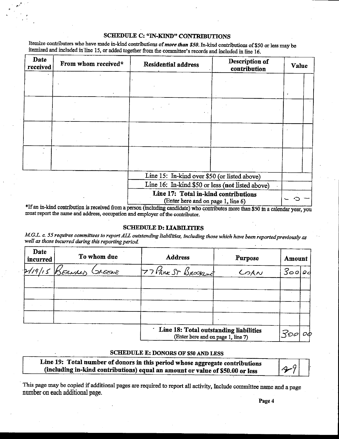Itemize contributors who have made in-kind contributions of *more than* \$50. In-kind contributions of \$50 or less may be itemized and included in line 15, or added together from the committee's records and included in line 16.

r.

| Date<br>received | From whom received* | <b>Residential address</b>                                                 | Description of<br>contribution | Value |  |
|------------------|---------------------|----------------------------------------------------------------------------|--------------------------------|-------|--|
|                  |                     |                                                                            |                                |       |  |
|                  |                     |                                                                            |                                |       |  |
|                  |                     |                                                                            |                                |       |  |
|                  |                     |                                                                            |                                |       |  |
|                  |                     |                                                                            |                                |       |  |
|                  |                     |                                                                            |                                |       |  |
|                  |                     |                                                                            |                                |       |  |
|                  |                     |                                                                            |                                |       |  |
|                  |                     | Line 15: In-kind over \$50 (or listed above)                               |                                |       |  |
|                  |                     | Line 16: In-kind \$50 or less (not listed above)                           |                                |       |  |
|                  |                     | Line 17: Total in-kind contributions<br>(Enter here and on page 1, line 6) |                                |       |  |

If an in-kind contribution is received from a person (including candidate) who contributes more than \$50 in a calendar year, you must report the name and address, occupation and employer of the contributor.

#### SCHEDULE D: LIABILITIES

M.G.L. c. 55 requires committees to report ALL outstanding liabilities, including those which have been reported previously as well as those incurred during this reporting period.

| Date<br><i>incurred</i> |         | To whom due   | <b>Address</b>                                                               | Purpose<br>Amount |      |    |  |
|-------------------------|---------|---------------|------------------------------------------------------------------------------|-------------------|------|----|--|
| 1/19/15                 | KERNAAN | <b>SAEEWE</b> | 77 PARK ST BROOKING                                                          | COAN              | 3000 |    |  |
|                         |         |               |                                                                              |                   |      |    |  |
|                         |         |               |                                                                              |                   |      |    |  |
|                         |         |               |                                                                              |                   |      |    |  |
|                         |         |               |                                                                              |                   |      |    |  |
|                         |         |               | Line 18: Total outstanding liabilities<br>(Enter here and on page 1, line 7) |                   | 300  | oф |  |

#### SCHEDULE E: DONORS OF S50 AND LESS

| Line 19: Total number of donors in this period whose aggregate contributions  |    |  |
|-------------------------------------------------------------------------------|----|--|
| (including in-kind contributions) equal an amount or value of \$50.00 or less | 49 |  |

This page may be copied if additional pages are required to report all activity, Include committee name and a page number on each additional page.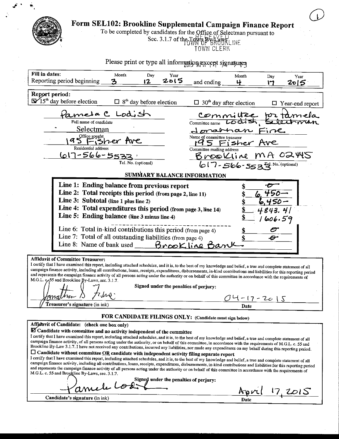| <b>Card</b> | <b>And Form SEL102: Brookline Supplemental Campaign Finance Report</b> |  |  |
|-------------|------------------------------------------------------------------------|--|--|
|             |                                                                        |  |  |

To be completed by candidates for the Office of Selectman pursuant to<br>Sec. 3.1.7 of the Town BGTV BROURLINE<br>TOWN CLERK

 $\mathbb{Z}$ 

| Please print or type all information except signatures                                                                                                                                                                                                                                                                                     |  |  |  |  |  |  |
|--------------------------------------------------------------------------------------------------------------------------------------------------------------------------------------------------------------------------------------------------------------------------------------------------------------------------------------------|--|--|--|--|--|--|
| Fill in dates:<br>Month<br>Day<br>Year<br>Month<br>Day<br>Year                                                                                                                                                                                                                                                                             |  |  |  |  |  |  |
| てこにつ<br>Reporting period beginning<br>12<br>and ending<br>나<br>2015<br>17                                                                                                                                                                                                                                                                  |  |  |  |  |  |  |
| Report period:                                                                                                                                                                                                                                                                                                                             |  |  |  |  |  |  |
| $\mathbb{Z}/15^{\text{th}}$ day before election<br>$\Box$ 8 <sup>th</sup> day before election<br>$\Box$ 30 <sup>th</sup> day after election<br>$\Box$ Year-end report                                                                                                                                                                      |  |  |  |  |  |  |
| Pameta C Lodist<br>committée pr taméla                                                                                                                                                                                                                                                                                                     |  |  |  |  |  |  |
| Lodish Selectman<br>Committee name<br>Full name of candidate                                                                                                                                                                                                                                                                               |  |  |  |  |  |  |
| <b>Selectman</b><br>Jonarnan Fine                                                                                                                                                                                                                                                                                                          |  |  |  |  |  |  |
| 95 Fisher Ave<br>Name of committee treasurer<br>195 Fisher Ave                                                                                                                                                                                                                                                                             |  |  |  |  |  |  |
| Residential address<br>Committee mailing address<br>617-566-5533                                                                                                                                                                                                                                                                           |  |  |  |  |  |  |
| Brookline MA 02445<br>Tel. No. (optional)                                                                                                                                                                                                                                                                                                  |  |  |  |  |  |  |
| $617 - 566 - 553$ <sup>+4</sup> No. (optional)                                                                                                                                                                                                                                                                                             |  |  |  |  |  |  |
| <b>SUMMARY BALANCE INFORMATION</b>                                                                                                                                                                                                                                                                                                         |  |  |  |  |  |  |
| Line 1: Ending balance from previous report                                                                                                                                                                                                                                                                                                |  |  |  |  |  |  |
| Line 2: Total receipts this period (from page 2, line 11)<br>450<br>Line 3: Subtotal (line 1 plus line 2)                                                                                                                                                                                                                                  |  |  |  |  |  |  |
| Line 4: Total expenditures this period (from page 3, line 14)<br>4843.4                                                                                                                                                                                                                                                                    |  |  |  |  |  |  |
| Line 5: Ending balance (line 3 minus line 4)<br>1606.59                                                                                                                                                                                                                                                                                    |  |  |  |  |  |  |
|                                                                                                                                                                                                                                                                                                                                            |  |  |  |  |  |  |
| Line 6: Total in-kind contributions this period (from page 4)<br>Line 7: Total of all outstanding liabilities (from page 4)<br>$\boldsymbol{\varTheta}$                                                                                                                                                                                    |  |  |  |  |  |  |
| Line 8: Name of bank used <b>Brook line Bank</b>                                                                                                                                                                                                                                                                                           |  |  |  |  |  |  |
|                                                                                                                                                                                                                                                                                                                                            |  |  |  |  |  |  |
| <b>Affidavit of Committee Treasurer:</b><br>I certify that I have examined this report, including attached schedules, and it is, to the best of my knowledge and belief, a true and complete statement of all                                                                                                                              |  |  |  |  |  |  |
| campaign finance activity, including all contributions, loans, receipts, expenditures, disbursements, in-kind contributions and liabilities for this reporting period                                                                                                                                                                      |  |  |  |  |  |  |
| and represents the campaign finance activity of all persons acting under the authority or on behalf of this committee in accordance with the requirements of<br>M.G.L. c <sub>1</sub> 55 and Brookline By-Laws, sec. 3.1.7.                                                                                                                |  |  |  |  |  |  |
| Signed under the penalties of perjury:                                                                                                                                                                                                                                                                                                     |  |  |  |  |  |  |
| 04-17-2015                                                                                                                                                                                                                                                                                                                                 |  |  |  |  |  |  |
| Treasurer's signature (in ink)<br>Date                                                                                                                                                                                                                                                                                                     |  |  |  |  |  |  |
| FOR CANDIDATE FILINGS ONLY: (Candidate must sign below)                                                                                                                                                                                                                                                                                    |  |  |  |  |  |  |
| Affidavit of Candidate: (check one box only)                                                                                                                                                                                                                                                                                               |  |  |  |  |  |  |
| <b>Z</b> Candidate with committee and no activity independent of the committee<br>I certify that I have examined this report, including attached schedules, and it is, to the best of my knowledge and belief, a true and complete statement of all                                                                                        |  |  |  |  |  |  |
| campaign finance activity, of all persons acting under the authority, or on behalf of this committee, in accordance with the requirements of M.G.L. c. 55 and<br>Brookline By-Law 3.1.7. I have not received any contributions, incurred any liabilities, nor made any expenditures on my behalf during this reporting period.             |  |  |  |  |  |  |
| $\square$ Candidate without committee QR candidate with independent activity filing separate report                                                                                                                                                                                                                                        |  |  |  |  |  |  |
| I certify that I have examined this report, including attached schedules, and it is, to the best of my knowledge and belief, a true and complete statement of all<br>campaign finance activity, including all contributions, loans, receipts, expenditures, disbursements, in-kind contributions and liabilities for this reporting period |  |  |  |  |  |  |
| and represents the campaign finance activity of all persons acting under the authority or on behalf of this committee in accordance with the requirements of<br>M.G.L. c. 55 and Brookline By-Laws, sec. 3.1.7.                                                                                                                            |  |  |  |  |  |  |
| Amele Louis                                                                                                                                                                                                                                                                                                                                |  |  |  |  |  |  |
| April 17, 2015                                                                                                                                                                                                                                                                                                                             |  |  |  |  |  |  |
| Candidate's signature (in ink)<br>Date                                                                                                                                                                                                                                                                                                     |  |  |  |  |  |  |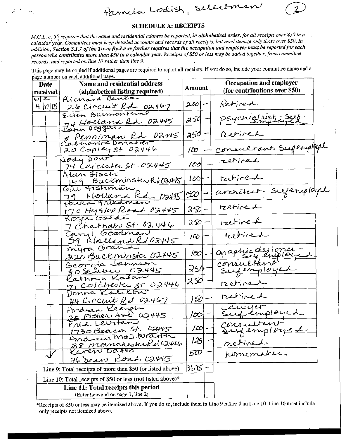selection Pamela Lodish,

M.G.L. c. 55 requires that the name and residential address be reported, in alphabetical order, for all receipts over \$50 in a calendar year. Committees must keep detailed accounts and records of all receipts, but need itemize only those over \$50. In addition, Section 3.1.7 of the Town By-Laws further requires that the occupation and employer must be reported for each person who contributes more than \$50 in a calendar year. Receipts of \$50 or less may be added together, from committee records, and reported on line 10 rather than line 9.

This page may be copied if additional pages are required to report all receipts. If you do so, include your committee name and a nage number on each additional page.

| Date                          | Name and residential address                                                      | Amount  |  | Occupation and employer         |
|-------------------------------|-----------------------------------------------------------------------------------|---------|--|---------------------------------|
| received                      | (alphabetical listing required)                                                   |         |  | (for contributions over $$50$ ) |
| $\omega$ $\epsilon$<br>ฯ  п ธ | Richard Benka<br>26 Circuit Rd. 02467                                             | 2001-   |  | Retired                         |
|                               | Ellen Blumenthal<br>74 Holland Rd 02445                                           | 254     |  | psychial Nist = Seef            |
|                               | 8 Penniman Rd D2445                                                               | 254     |  | Retired                         |
|                               | Catharine Donaher<br>$20$ Copley St 02446                                         | 100     |  | consultant Seefenployed         |
|                               | Joay Dow<br>74 Leicester St. 02445                                                | 100     |  | retiver                         |
|                               | Alan Fisch<br>149 Buckminstwr102445                                               | 100I    |  | tretired                        |
|                               | Giu Fishman<br>79 Holland Kd Days                                                 | 520     |  | architect-suferiployed          |
|                               | Paula Friedman<br>170 Hyslop Road 02445                                           | 250     |  | retired                         |
|                               | Koger Golde<br>7 Chatham St 02446                                                 | 250     |  | retired                         |
|                               | Caryl Goodman<br>59 Ktolland Rd 02445                                             | $100-1$ |  | retired                         |
|                               | myra Grand<br>220 Buckminster 02445                                               | 100     |  | graphic designer -              |
|                               | Georgia Johnson<br>80 Seann 02445                                                 | 250     |  | consultant<br>Supermployed      |
|                               | Kathryn Kalan<br>71 Colchester ST 02446                                           | 250     |  | retired                         |
|                               | 44 Circuit Rel 02467                                                              | 150     |  | retired                         |
|                               | Andrea Keargh<br>25 Fisher Ave 02445                                              | JtO     |  | Lawyer<br>Sufemployed           |
|                               | Fred Leurtan                                                                      | סטן     |  | consultant                      |
|                               | 1730 Beacon St. 02445<br>Andrew McIWraith<br>28 momchester Ru02446<br>Caven Dates | 125     |  |                                 |
|                               | 96 Dean Road 02445                                                                | 500     |  | retired<br>pomemaker            |
|                               | Line 9: Total receipts of more than \$50 (or listed above)                        | 3675    |  |                                 |
|                               | Line 10: Total receipts of \$50 or less (not listed above)*                       |         |  |                                 |
|                               | Line 11: Total receipts this period<br>(Enter here and on page 1, line 2)         |         |  |                                 |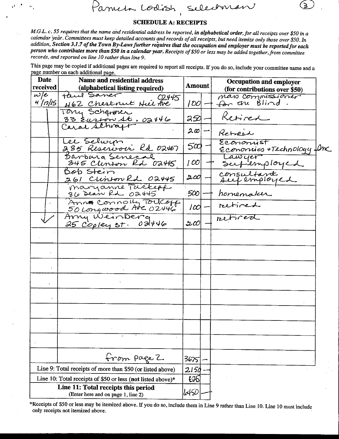**SCHEDULE A: RECEIPTS** 

Selectrican

M.G.L. c. 55 requires that the name and residential address be reported, in alphabetical order, for all receipts over \$50 in a calendar year. Committees must keep detailed accounts and records of all receipts, but need itemize only those over \$50. In addition, Section 3.1.7 of the Town By-Laws further requires that the occupation and employer must be reported for each person who contributes more than \$50 in a calendar year. Receipts of \$50 or less may be added together, from committee records, and reported on line 10 rather than line 9.

Parneta Codish

This page may be copied if additional pages are required to report all receipts. If you do so, include your committee name and a page number on each additional page.

| Date                | Name and residential address                                              |             | <b>Occupation and employer</b>                 |  |
|---------------------|---------------------------------------------------------------------------|-------------|------------------------------------------------|--|
| received            | (alphabetical listing required)                                           | Amount      | (for contributions over \$50)                  |  |
| $\omega$ le         | taul Saner<br>02445                                                       |             | mass commissioner                              |  |
| <u>4  n IS</u>      | 462 Chestruit Hier the                                                    | 1001 -      | for the Blind.                                 |  |
|                     | Tony Schanner<br>33 Euston St. 02446<br>Caral Schraft                     | 350         | Retired                                        |  |
|                     |                                                                           | $ 2\omega $ | Retreat                                        |  |
|                     | Lee Selwyn<br>285 Reservoir Kd 02467                                      | 5æ1         | Economist<br><u>Economics +Technology</u> fonc |  |
|                     | Barbara Senecal<br>345 Clenton Rd 02445                                   | OO          | Lawyer<br>Supermployed                         |  |
|                     | Bob Stein<br>261 Clinton Rd 02445                                         | 200         | consultant<br>suipemployed                     |  |
|                     | Maryanne Tackepp                                                          | 500         | homemaker                                      |  |
| $\mathcal{V}^{\pm}$ | Anne Connoil Toucoff                                                      | I∽          | retired                                        |  |
|                     | 25 Copley St. 02446                                                       | ان پ        | retired                                        |  |
|                     |                                                                           |             |                                                |  |
|                     |                                                                           |             |                                                |  |
|                     |                                                                           |             |                                                |  |
|                     |                                                                           |             |                                                |  |
|                     |                                                                           |             |                                                |  |
|                     |                                                                           |             |                                                |  |
|                     |                                                                           |             |                                                |  |
|                     |                                                                           |             |                                                |  |
|                     | from page 2                                                               | 36751-      |                                                |  |
|                     | Line 9: Total receipts of more than \$50 (or listed above)                | 2150        |                                                |  |
|                     | Line 10: Total receipts of \$50 or less (not listed above)*               | 625         |                                                |  |
|                     | Line 11: Total receipts this period<br>(Enter here and on page 1, line 2) | 6456        |                                                |  |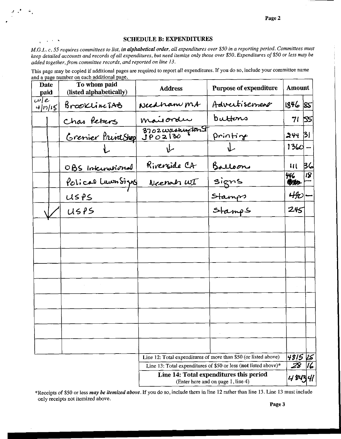#### **SCHEDULE B: EXPENDITURES**

 $\chi^2$  ,  $\chi^2$  ,  $\chi^2$  ,  $\chi^2$ 

M.G.L. c. 55 requires committees to list, in alphabetical order, all expenditures over \$50 in a reporting period. Committees must keep detailed accounts and records of all expenditures, but need itemize only those over \$50. Expenditures of \$50 or less may be added together, from committee records, and reported on line 13.

This page may be copied if additional pages are required to report all expenditures. If you do so, include your committee name and a page number on each additional page.

| Date<br>paid           |  | To whom paid<br>(listed alphabetically) | <b>Address</b>       | <b>Purpose of expenditure</b>                                                 | Amount        |                |
|------------------------|--|-----------------------------------------|----------------------|-------------------------------------------------------------------------------|---------------|----------------|
| $\omega$ e<br>4  n  15 |  | BrooklineTAB                            | Needhan ms           | Advertisement                                                                 | 1846 85       |                |
|                        |  | Chas Peters                             | maisorder            | buttons                                                                       | 71  55        |                |
|                        |  | <u>Grenier Print Shop</u>               | $3702 \frac{w}{130}$ | printing                                                                      | 244 BI        |                |
|                        |  |                                         | 山                    |                                                                               | $1360 -$      |                |
|                        |  | OBS International                       | Riverside CA         | Balloon                                                                       | <b>III 36</b> |                |
|                        |  | Polical Lumbigns Neenah WI              |                      | signs                                                                         | 446<br>Witc   | $\overline{8}$ |
|                        |  | USPS                                    |                      |                                                                               | 490-          |                |
|                        |  | U5PS                                    |                      | Stamps<br>Stamps                                                              | 245           |                |
|                        |  |                                         |                      |                                                                               |               |                |
|                        |  |                                         |                      |                                                                               |               |                |
|                        |  |                                         |                      |                                                                               |               |                |
|                        |  |                                         |                      |                                                                               |               |                |
|                        |  |                                         |                      |                                                                               |               |                |
|                        |  |                                         |                      |                                                                               |               |                |
|                        |  |                                         |                      |                                                                               |               |                |
|                        |  |                                         |                      |                                                                               |               |                |
|                        |  |                                         |                      |                                                                               |               |                |
|                        |  |                                         |                      | Line 12: Total expenditures of more than \$50 (or listed above)               | 4815          | 15             |
|                        |  |                                         |                      | Line 13: Total expenditures of \$50 or less (not listed above)*               | Z8            |                |
|                        |  |                                         |                      | Line 14: Total expenditures this period<br>(Enter here and on page 1, line 4) |               |                |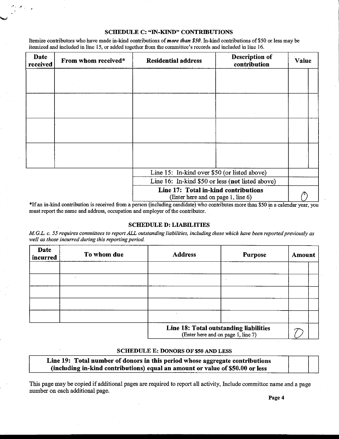Itemize contributors who have made in-kind contributions of more than \$50. In-kind contributions of \$50 or less may be itemized and included in line 15, or added together from the committee's records and included in line 16.

| Date<br>received | From whom received* | <b>Residential address</b>                       | Description of<br>contribution | Value |  |  |
|------------------|---------------------|--------------------------------------------------|--------------------------------|-------|--|--|
|                  |                     |                                                  |                                |       |  |  |
|                  |                     |                                                  |                                |       |  |  |
|                  |                     |                                                  |                                |       |  |  |
|                  |                     |                                                  |                                |       |  |  |
|                  |                     |                                                  |                                |       |  |  |
|                  |                     |                                                  |                                |       |  |  |
|                  |                     |                                                  |                                |       |  |  |
|                  |                     |                                                  |                                |       |  |  |
|                  |                     |                                                  |                                |       |  |  |
|                  |                     |                                                  |                                |       |  |  |
|                  |                     |                                                  |                                |       |  |  |
|                  |                     |                                                  |                                |       |  |  |
|                  |                     | Line 15: In-kind over \$50 (or listed above)     |                                |       |  |  |
|                  |                     | Line 16: In-kind \$50 or less (not listed above) |                                |       |  |  |
|                  |                     | Line 17: Total in-kind contributions             |                                | ́     |  |  |

Enter here and on page 1, line 6)

\*If an in-kind contribution is received from a person (including candidate) who contributes more than \$50 in a calendar year, you must report the name and address, occupation and employer of the contributor.

#### SCHEDULE D: LIABILITIES

M.G.L. c. 55 requires committees to report ALL outstanding liabilities, including those which have been reported previously as well as those incurred during this reporting period.

| Date<br>incurred | To whom due | <b>Address</b>                         | <b>Purpose</b>                    | Amount |  |
|------------------|-------------|----------------------------------------|-----------------------------------|--------|--|
|                  |             |                                        |                                   |        |  |
|                  |             |                                        |                                   |        |  |
|                  |             |                                        |                                   |        |  |
|                  |             |                                        |                                   |        |  |
|                  |             |                                        |                                   |        |  |
|                  |             | Line 18: Total outstanding liabilities | (Enter here and on page 1 line 7) |        |  |

### Enter here and on page l, line 7)

#### SCHEDULE E: DONORS OF \$50 AND LESS

| Line 19: Total number of donors in this period whose aggregate contributions  |  |
|-------------------------------------------------------------------------------|--|
| (including in-kind contributions) equal an amount or value of \$50.00 or less |  |

This page may be copied if additional pages are required to report all activity, Include committee name and a page number on each additional page.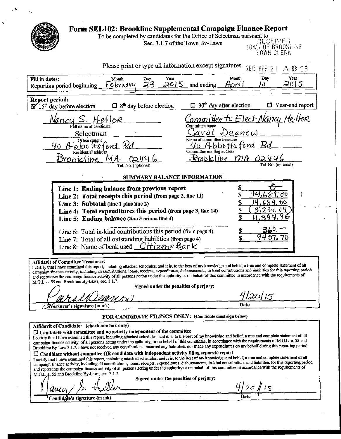| Form SEL102: Brookline Supplemental Campaign Finance Report<br>To be completed by candidates for the Office of Selectman pursuant to                                                                                                                                                                                                                                                                                                                                                                                                                                                                                                                                                                                                                                                                                                                                                                                                                                                                                                                                                                                                                                                                                                                                                                                                                                   |
|------------------------------------------------------------------------------------------------------------------------------------------------------------------------------------------------------------------------------------------------------------------------------------------------------------------------------------------------------------------------------------------------------------------------------------------------------------------------------------------------------------------------------------------------------------------------------------------------------------------------------------------------------------------------------------------------------------------------------------------------------------------------------------------------------------------------------------------------------------------------------------------------------------------------------------------------------------------------------------------------------------------------------------------------------------------------------------------------------------------------------------------------------------------------------------------------------------------------------------------------------------------------------------------------------------------------------------------------------------------------|
| RECEIVED<br>Sec. 3.1.7 of the Town Bv-Laws<br>TOWN OF BROOKLINE<br>TOWN CLERK                                                                                                                                                                                                                                                                                                                                                                                                                                                                                                                                                                                                                                                                                                                                                                                                                                                                                                                                                                                                                                                                                                                                                                                                                                                                                          |
| Please print or type all information except signatures<br>2015 APR 2 1<br>$A$ 10 08                                                                                                                                                                                                                                                                                                                                                                                                                                                                                                                                                                                                                                                                                                                                                                                                                                                                                                                                                                                                                                                                                                                                                                                                                                                                                    |
| Day<br>Year<br>Fill in dates:<br>Month<br>Month<br>Year<br>Day<br>23<br>2015<br>2015<br>10<br>and ending<br>February<br>Hori I<br>Reporting period beginning                                                                                                                                                                                                                                                                                                                                                                                                                                                                                                                                                                                                                                                                                                                                                                                                                                                                                                                                                                                                                                                                                                                                                                                                           |
| Report period:<br>$\Box$ Year-end report<br>$30th$ day after election<br>$\mathbf{W}$ 15 <sup>th</sup> day before election<br>$\Box$ 8 <sup>th</sup> day before election                                                                                                                                                                                                                                                                                                                                                                                                                                                                                                                                                                                                                                                                                                                                                                                                                                                                                                                                                                                                                                                                                                                                                                                               |
| <u>'ommittee to Elect Nancy P</u><br>Vancu S. Heller<br>Full name of candidate<br>Committee name                                                                                                                                                                                                                                                                                                                                                                                                                                                                                                                                                                                                                                                                                                                                                                                                                                                                                                                                                                                                                                                                                                                                                                                                                                                                       |
| <u>Tarol</u><br>Deanow<br>Selectman<br>Name of committee treasurer<br>Office sought<br>40 Abbottsford<br><u>40 Abbottsford</u>                                                                                                                                                                                                                                                                                                                                                                                                                                                                                                                                                                                                                                                                                                                                                                                                                                                                                                                                                                                                                                                                                                                                                                                                                                         |
| Committee mailing address<br>Residential address<br>Erroakline<br>$m_A$<br>Brookline MA<br>Tel. No. (optional)<br>Tel. No. (optional)                                                                                                                                                                                                                                                                                                                                                                                                                                                                                                                                                                                                                                                                                                                                                                                                                                                                                                                                                                                                                                                                                                                                                                                                                                  |
| SUMMARY BALANCE INFORMATION                                                                                                                                                                                                                                                                                                                                                                                                                                                                                                                                                                                                                                                                                                                                                                                                                                                                                                                                                                                                                                                                                                                                                                                                                                                                                                                                            |
| \$<br>Line 1: Ending balance from previous report<br>Line 2: Total receipts this period (from page 2, line 11)<br><b>OO</b><br><u>S</u><br>Line 3: Subtotal (line 1 plus line 2)<br>\$<br>Line 4: Total expenditures this period (from page 3, line 14)<br>\$<br>Line 5: Ending balance (line 3 minus line 4)<br>360.<br><u>s</u><br>Line 6: Total in-kind contributions this period (from page 4)<br>O I.<br>Line 7: Total of all outstanding liabilities (from page 4)<br>Line 8: Name of bank used <i>Citizens Bank</i>                                                                                                                                                                                                                                                                                                                                                                                                                                                                                                                                                                                                                                                                                                                                                                                                                                             |
| <b>Affidavit of Committee Treasurer:</b><br>I certify that I have examined this report, including attached schedules, and it is, to the best of my knowledge and belief, a true and complete statement of all<br>campaign finance activity, including all contributions, loans, receipts, expenditures, disbursements, in-kind contributions and liabilities for this reporting period<br>and represents the campaign finance activity of all persons acting under the authority or on behalf of this committee in accordance with the requirements of<br>M.G.L. c. 55 and Brookline By-Laws, sec. 3.1.7.<br>Signed under the penalties of perjury:                                                                                                                                                                                                                                                                                                                                                                                                                                                                                                                                                                                                                                                                                                                    |
| <u>4120/15</u><br>Date<br>Treasurer's signature (in ink)                                                                                                                                                                                                                                                                                                                                                                                                                                                                                                                                                                                                                                                                                                                                                                                                                                                                                                                                                                                                                                                                                                                                                                                                                                                                                                               |
| FOR CANDIDATE FILINGS ONLY: (Candidate must sign below)                                                                                                                                                                                                                                                                                                                                                                                                                                                                                                                                                                                                                                                                                                                                                                                                                                                                                                                                                                                                                                                                                                                                                                                                                                                                                                                |
| Affidavit of Candidate: (check one box only)<br>[ Candidate with committee and no activity independent of the committee<br>I certify that I have examined this report, including attached schedules, and it is, to the best of my knowledge and belief, a true and complete statement of all<br>campaign finance activity, of all persons acting under the authority, or on behalf of this committee, in accordance with the requirements of M.G.L. c. 55 and<br>Brookline By-Law 3.1.7. I have not received any contributions, incurred any liabilities, nor made any expenditures on my behalf during this reporting period.<br>$\square$ Candidate without committee $\underline{OR}$ candidate with independent activity filing separate report<br>I certify that I have examined this report, including attached schedules, and it is, to the best of my knowledge and belief, a true and complete statement of all<br>campaign finance activity, including all contributions, loans, receipts, expenditures, disbursements, in-kind contributions and liabilities for this reporting period<br>and represents the campaign finance activity of all persons acting under the authority or on behalf of this committee in accordance with the requirements of<br>M.G.L.c. 55 and Brookline By-Laws, sec. 3.1.7.<br>Signed under the penalties of perjury:<br>20115 |
| Candidate's signature (in ink)                                                                                                                                                                                                                                                                                                                                                                                                                                                                                                                                                                                                                                                                                                                                                                                                                                                                                                                                                                                                                                                                                                                                                                                                                                                                                                                                         |

 $\ddot{\phantom{1}}$ 

÷

 $\cdot$ 

ç.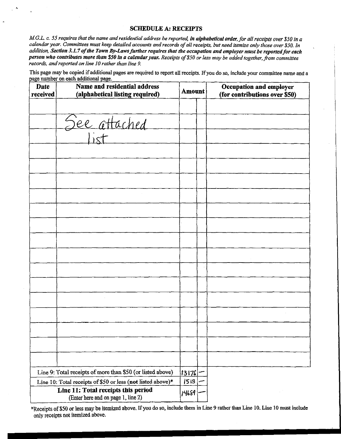4

M.G.L. c. 55 requires that the name and residential address be reported, in alphabetical order, for all receipts over \$50 in a calendar year. Committees must keep detailed accounts and records of all receipts, but need itemize only those over \$50. In addition, Section 3.1.7 of the Town By-Laws further requires that the occupation and employer must be reported for each person who contributes more than \$50 in a calendar year. Receipts of \$50 or less may be added together, from committee records, and reported on line 10 rather than line 9.

This page may be copied if additional pages are required to report all receipts. If you do so, include your committee name and a page number on each additional page.

| <b>Date</b><br>received | Name and residential address<br>(alphabetical listing required)           | <b>Amount</b> | Occupation and employer<br>(for contributions over \$50) |
|-------------------------|---------------------------------------------------------------------------|---------------|----------------------------------------------------------|
|                         |                                                                           |               |                                                          |
|                         | See attached                                                              |               |                                                          |
|                         |                                                                           |               |                                                          |
|                         |                                                                           |               |                                                          |
|                         |                                                                           |               |                                                          |
|                         |                                                                           |               |                                                          |
|                         |                                                                           |               |                                                          |
|                         |                                                                           |               |                                                          |
|                         |                                                                           |               |                                                          |
|                         |                                                                           |               |                                                          |
|                         |                                                                           |               |                                                          |
|                         |                                                                           |               |                                                          |
|                         |                                                                           |               |                                                          |
|                         |                                                                           |               |                                                          |
|                         |                                                                           |               |                                                          |
|                         |                                                                           |               |                                                          |
|                         |                                                                           |               |                                                          |
|                         |                                                                           |               |                                                          |
|                         |                                                                           |               |                                                          |
|                         | Line 9: Total receipts of more than \$50 (or listed above)                | 13176         |                                                          |
|                         | Line 10: Total receipts of \$50 or less (not listed above)*               | 513           |                                                          |
|                         | Line 11: Total receipts this period<br>(Enter here and on page 1, line 2) | 14689         |                                                          |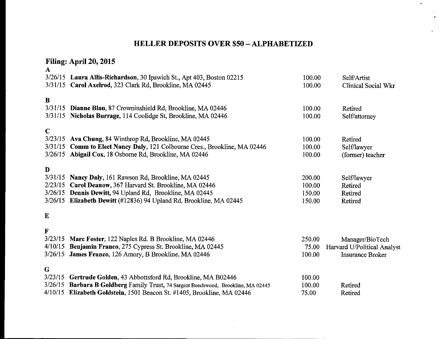# HELLER DEPOSITS OVER \$50 —ALPHABETIZED

A

r'

# Filing: April 20, 2015

| $\mathbf{A}$                       | 3/26/15 Laura Allis-Richardson, 30 Ipswich St., Apt 403, Boston 02215<br>3/31/15 Carol Axelrod, 323 Clark Rd, Brookline, MA 02445                                                                                                      | 100.00<br>100.00                     | Self/Artist<br>Clinical Social Wkr                                        |
|------------------------------------|----------------------------------------------------------------------------------------------------------------------------------------------------------------------------------------------------------------------------------------|--------------------------------------|---------------------------------------------------------------------------|
| $\bf{B}$<br>3/31/15                | Dianne Blau, 87 Crowninshield Rd, Brookline, MA 02446<br>3/31/15 Nicholas Burrage, 114 Coolidge St, Brookline, MA 02446                                                                                                                | 100.00<br>100.00                     | Retired<br>Self/attorney                                                  |
| $\mathbf C$                        | 3/23/15 Ava Chung, 84 Winthrop Rd, Brookline, MA 02445<br>3/31/15 Comm to Elect Nancy Daly, 121 Colbourne Cres., Brookline, MA 02446<br>3/26/15 Abigail Cox, 18 Osborne Rd, Brookline, MA 02446                                        | 100.00<br>100.00<br>100.00           | Retired<br>Self/lawyer<br>(former) teacher                                |
| $\mathbf{D}$<br>3/31/15<br>2/23/15 | Nancy Daly, 161 Rawson Rd, Brookline, MA 02445<br>Carol Deanow, 367 Harvard St. Brookline, MA 02446<br>3/26/15 Dennis Dewitt, 94 Upland Rd, Brookline, MA 02445<br>3/26/15 Elizabeth Dewitt (#12836) 94 Upland Rd, Brookline, MA 02445 | 200.00<br>100.00<br>150.00<br>150.00 | Self/lawyer<br>Retired<br>Retired<br>Retired                              |
| $\bf{E}$                           |                                                                                                                                                                                                                                        |                                      |                                                                           |
| F<br>3/23/15<br>4/10/15<br>3/26/15 | Marc Foster, 122 Naples Rd. B Brookline, MA 02446<br>Benjamin Franco, 275 Cypress St. Brookline, MA 02445<br>James Franco, 126 Amory, B Brookline, MA 02446                                                                            | 250.00<br>75.00<br>100.00            | Manager/BioTech<br>Harvard U/Political Analyst<br><b>Insurance Broker</b> |
| $\mathbf G$                        | 3/23/15 Gertrude Golden, 43 Abbottsford Rd, Brookline, MA B02446<br>3/26/15 Barbara B Goldberg Family Trust, 74 Sargent Beechwood, Brookline, MA 02445<br>4/10/15 Elizabeth Goldstein, 1501 Beacon St. #1405, Brookline, MA 02446      | 100.00<br>100.00<br>75.00            | Retired<br>Retired                                                        |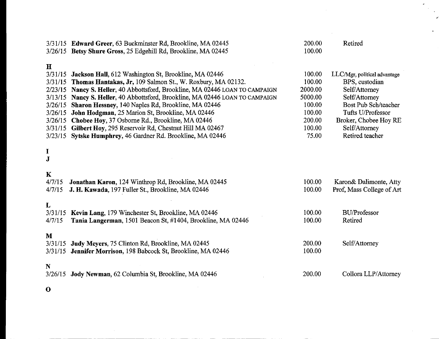|                        | 3/31/15 Edward Greer, 63 Buckminster Rd, Brookline, MA 02445                                                              | 200.00           | Retired                                |
|------------------------|---------------------------------------------------------------------------------------------------------------------------|------------------|----------------------------------------|
|                        | 3/26/15 Betsy Shure Gross, 25 Edgehill Rd, Brookline, MA 02445                                                            | 100.00           |                                        |
| $\mathbf{H}$           |                                                                                                                           |                  |                                        |
| 3/31/15                | Jackson Hall, 612 Washington St, Brookline, MA 02446                                                                      | 100.00           | LLC/Mgr, political advantage           |
| 3/31/15                | Thomas Hantakas, Jr, 109 Salmon St., W. Roxbury, MA 02132.                                                                | 100.00           | BPS, custodian                         |
|                        | 2/23/15 Nancy S. Heller, 40 Abbottsford, Brookline, MA 02446 LOAN TO CAMPAIGN                                             | 2000.00          | Self/Attorney                          |
|                        | 3/13/15 Nancy S. Heller, 40 Abbottsford, Brookline, MA 02446 LOAN TO CAMPAIGN                                             | 5000.00          | Self/Attorney                          |
|                        | 3/26/15 Sharon Hessney, 140 Naples Rd, Brookline, MA 02446                                                                | 100.00           | Bost Pub Sch/teacher                   |
|                        | 3/26/15 John Hodgman, 25 Marion St, Brookline, MA 02446                                                                   | 100.00           | Tufts U/Professor                      |
|                        | 3/26/15 Chobee Hoy, 37 Osborne Rd., Brookline, MA 02446<br>3/31/15 Gilbert Hoy, 295 Reservoir Rd, Chestnut Hill MA 02467  | 200.00<br>100.00 | Broker, Chobee Hoy RE<br>Self/Attorney |
|                        | 3/23/15 Sytske Humphrey, 46 Gardner Rd. Brookline, MA 02446                                                               | 75.00            | Retired teacher                        |
|                        |                                                                                                                           |                  |                                        |
| I                      |                                                                                                                           |                  |                                        |
| J                      |                                                                                                                           |                  |                                        |
| K                      |                                                                                                                           |                  |                                        |
| 4/7/15                 | Jonathan Karon, 124 Winthrop Rd, Brookline, MA 02445                                                                      | 100.00           | Karon& Dalimonte, Atty                 |
| 4/7/15                 | J. H. Kawada, 197 Fuller St., Brookline, MA 02446                                                                         | 100.00           | Prof, Mass College of Art              |
|                        |                                                                                                                           |                  |                                        |
| L                      |                                                                                                                           | 100.00           |                                        |
| 4/7/15                 | 3/31/15 Kevin Lang, 179 Winchester St, Brookline, MA 02446<br>Tania Langerman, 1501 Beacon St, #1404, Brookline, MA 02446 | 100.00           | <b>BU/Professor</b><br>Retired         |
|                        |                                                                                                                           |                  |                                        |
| M                      |                                                                                                                           |                  |                                        |
| 3/31/15                | Judy Meyers, 75 Clinton Rd, Brookline, MA 02445                                                                           | 200.00           | Self/Attorney                          |
|                        | 3/31/15 Jennifer Morrison, 198 Babcock St, Brookline, MA 02446                                                            | 100.00           |                                        |
|                        |                                                                                                                           |                  |                                        |
| $\mathbf N$<br>3/26/15 | Jody Newman, 62 Columbia St, Brookline, MA 02446                                                                          | 200.00           | Collora LLP/Attorney                   |
|                        |                                                                                                                           |                  |                                        |
| $\mathbf 0$            |                                                                                                                           |                  |                                        |

 $\label{eq:2} \frac{1}{\sqrt{2}}\left(\frac{1}{\sqrt{2}}\right)^{2} \left(\frac{1}{\sqrt{2}}\right)^{2} \left(\frac{1}{\sqrt{2}}\right)^{2} \left(\frac{1}{\sqrt{2}}\right)^{2} \left(\frac{1}{\sqrt{2}}\right)^{2} \left(\frac{1}{\sqrt{2}}\right)^{2} \left(\frac{1}{\sqrt{2}}\right)^{2} \left(\frac{1}{\sqrt{2}}\right)^{2} \left(\frac{1}{\sqrt{2}}\right)^{2} \left(\frac{1}{\sqrt{2}}\right)^{2} \left(\frac{1}{\sqrt{2}}\right)^{2} \left(\frac{$ 

O

 $\label{eq:2.1} \frac{1}{\sqrt{2}}\left(\frac{1}{\sqrt{2}}\right)^{2} \left(\frac{1}{\sqrt{2}}\right)^{2} \left(\frac{1}{\sqrt{2}}\right)^{2} \left(\frac{1}{\sqrt{2}}\right)^{2} \left(\frac{1}{\sqrt{2}}\right)^{2} \left(\frac{1}{\sqrt{2}}\right)^{2} \left(\frac{1}{\sqrt{2}}\right)^{2} \left(\frac{1}{\sqrt{2}}\right)^{2} \left(\frac{1}{\sqrt{2}}\right)^{2} \left(\frac{1}{\sqrt{2}}\right)^{2} \left(\frac{1}{\sqrt{2}}\right)^{2} \left(\$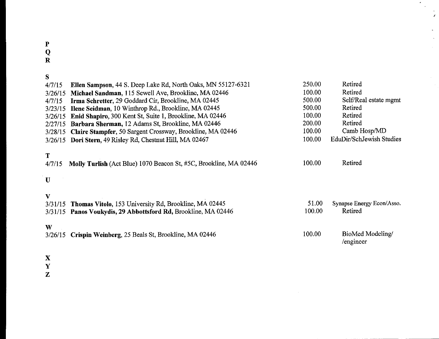## P

Q

R

| S                      |                                                                                                                                 |                 |                                      |
|------------------------|---------------------------------------------------------------------------------------------------------------------------------|-----------------|--------------------------------------|
| 4/7/15                 | Ellen Sampson, 44 S. Deep Lake Rd, North Oaks, MN 55127-6321                                                                    | 250.00          | Retired                              |
| 3/26/15                | Michael Sandman, 115 Sewell Ave, Brookline, MA 02446                                                                            | 100.00          | Retired                              |
| 4/7/15                 | Irma Schretter, 29 Goddard Cir, Brookline, MA 02445                                                                             | 500.00          | Self/Real estate mgmt                |
| 3/23/15                | Ilene Seidman, 10 Winthrop Rd., Brookline, MA 02445                                                                             | 500.00          | Retired                              |
| 3/26/15                | Enid Shapiro, 300 Kent St, Suite 1, Brookline, MA 02446                                                                         | 100.00          | Retired                              |
| 2/27/15                | Barbara Sherman, 12 Adams St, Brookline, MA 02446                                                                               | 200.00          | Retired                              |
| 3/28/15                | Claire Stampfer, 50 Sargent Crossway, Brookline, MA 02446                                                                       | 100.00          | Camb Hosp/MD                         |
| 3/26/15                | Dori Stern, 49 Risley Rd, Chestnut Hill, MA 02467                                                                               | 100.00          | EduDir/SchJewish Studies             |
| T<br>4/7/15<br>$\bf U$ | Molly Turlish (Act Blue) 1070 Beacon St, #5C, Brookline, MA 02446                                                               | 100.00          | Retired                              |
| V                      | 3/31/15 Thomas Vitolo, 153 University Rd, Brookline, MA 02445<br>3/31/15 Panos Voukydis, 29 Abbottsford Rd, Brookline, MA 02446 | 51.00<br>100.00 | Synapse Energy Econ/Asso.<br>Retired |
| W<br>3/26/15           | Crispin Weinberg, 25 Beals St, Brookline, MA 02446                                                                              | 100.00          | BioMed Modeling/<br>/engineer        |

 $\sim$ 

 $\frac{1}{\sqrt{2}}$ 

- X
- Y
- Z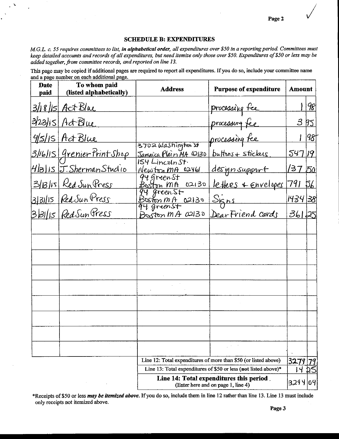Page 2

#### **SCHEDULE B: EXPENDITURES**

M.G.L. c. 55 requires committees to list, in alphabetical order, all expenditures over \$50 in a reporting period. Committees must keep detailed accounts and records of all expenditures, but need itemize only those over \$50. Expenditures of \$50 or less may be added together, from committee records, and reported on line 13.

This page may be copied if additional pages are required to report all expenditures. If you do so, include your committee name and a page number on each additional page.

| <b>Date</b><br>paid | To whom paid<br>(listed alphabetically)  | <b>Address</b>                                                                 | <b>Purpose of expenditure</b>                                   | <b>Amount</b>     |           |
|---------------------|------------------------------------------|--------------------------------------------------------------------------------|-----------------------------------------------------------------|-------------------|-----------|
|                     | 3/18/15 Act Blue                         |                                                                                | <u>processing fee</u>                                           |                   | 98        |
|                     | 3/23/15 Act Blue                         |                                                                                | processing fee                                                  | 315               |           |
|                     | 4/5/15 Act Blue                          |                                                                                | processing fee                                                  |                   | 1981      |
|                     | <u> 3/16/15   Grenier Print Shop</u>     | 3702 Washington St<br>Jamaica Plain MA 02130                                   | buttons + stickers                                              | 547 19            |           |
|                     | $H _{3 15}$ $\overline{J}.ShermanStudio$ | ISY Lincolnst.<br>Newton MA 02461                                              | designsupport                                                   | <u> 137 තර</u>    |           |
|                     | <u>3/13/15 Red Sun Press</u>             | 94 gruenst<br>02130<br>Boston MA                                               | letters & Envelopes                                             | 791               | <u>56</u> |
|                     | 3/31/15 Red Sun Press                    | 94 greenst<br>Boston MA 02130                                                  | <u>Signs</u>                                                    | 14 <u>34 38</u> 1 |           |
|                     | 3/31/15 Red Sun Press                    | Boston MA 02130                                                                | DearFriend cards                                                | 36125             |           |
|                     |                                          |                                                                                |                                                                 |                   |           |
|                     |                                          |                                                                                |                                                                 |                   |           |
|                     |                                          |                                                                                |                                                                 |                   |           |
|                     |                                          |                                                                                |                                                                 |                   |           |
|                     |                                          |                                                                                |                                                                 |                   |           |
|                     |                                          |                                                                                |                                                                 |                   |           |
|                     |                                          |                                                                                |                                                                 |                   |           |
|                     |                                          |                                                                                |                                                                 |                   |           |
|                     |                                          |                                                                                |                                                                 |                   |           |
|                     |                                          |                                                                                | Line 12: Total expenditures of more than \$50 (or listed above) | 32.79             |           |
|                     |                                          | Line 13: Total expenditures of \$50 or less (not listed above)*                |                                                                 |                   |           |
|                     |                                          | Line 14: Total expenditures this period.<br>(Enter here and on page 1, line 4) |                                                                 |                   | 3294104   |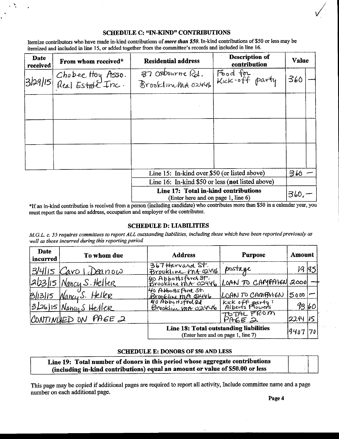Itemize contributors who have made in-kind contributions of more than \$50. In-kind contributions of \$50 or less may be itemized and included in line 15, or added together from the committee's records and included in line 16.

| Date<br>received | From whom received*                                  | <b>Residential address</b>                                                 | Description of<br>contribution | Value |  |
|------------------|------------------------------------------------------|----------------------------------------------------------------------------|--------------------------------|-------|--|
|                  | 3/29/15 Chobee Hoy Asso.<br>3/29/15 Real Estate Inc. | 37 Osbourne Rd.<br>Brooklimma 02446                                        | Food for<br>Kick-off party     | 360   |  |
|                  |                                                      |                                                                            |                                |       |  |
|                  |                                                      |                                                                            |                                |       |  |
|                  |                                                      |                                                                            |                                |       |  |
|                  |                                                      | Line 15: In-kind over \$50 (or listed above)                               |                                | 316   |  |
|                  | Line 16: In-kind \$50 or less (not listed above)     |                                                                            |                                |       |  |
|                  |                                                      | Line 17: Total in-kind contributions<br>(Enter here and on page 1, line 6) |                                | 360,  |  |

\*If an in-kind contribution is received from a person (including candidate) who contributes more than \$50 in a calendar year, you must report the name and address, occupation and employer of the contributor.

#### **SCHEDULE D: LIABILITIES**

M.G.L. c. 55 requires committees to report ALL outstanding liabilities, including those which have been reported previously as well as those incurred during this reporting period.

| Date<br>incurred | To whom due                 | <b>Address</b>                                                               | <b>Purpose</b>                                 | Amount   |        |
|------------------|-----------------------------|------------------------------------------------------------------------------|------------------------------------------------|----------|--------|
|                  | 3/4/15 Caro Deanow          | 367 Harvard St.<br>Brookline mt 02146                                        | postage                                        |          | 19  95 |
|                  | $ 2123 15 $ Nancy S. Helter | Les Apportsford St.<br>Brookline mA OS446                                    | LOAN TO CAMPAYEN 2000                          |          |        |
|                  | 3/13/15 Nancy S. Heller     | 40 Abbottsford St.<br>Brookline mA QUV6                                      | LOAN TO CAMPAYEN                               | 5000     |        |
|                  | 3/26/15 Nancy S Heller      | 40 AbbertsfootRd<br>Brookline mA 02446                                       | Kick off party <sup>1</sup><br>Alberts Flowers | 9360     |        |
|                  | CONTINUED ON PAGE 2         |                                                                              | TO TAL FROM<br>РАБЕ Д                          | 2294     |        |
|                  |                             | Line 18: Total outstanding liabilities<br>(Enter here and on page 1, line 7) |                                                | 4407  70 |        |

#### **SCHEDULE E: DONORS OF \$50 AND LESS**

| Line 19: Total number of donors in this period whose aggregate contributions  |  |
|-------------------------------------------------------------------------------|--|
| (including in-kind contributions) equal an amount or value of \$50.00 or less |  |

This page may be copied if additional pages are required to report all activity, Include committee name and a page number on each additional page.